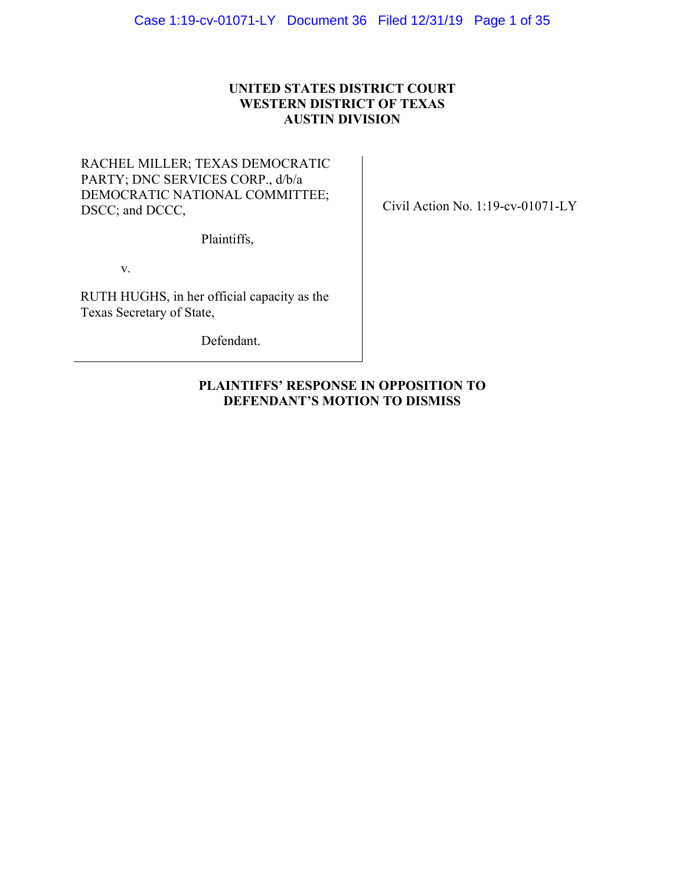# **UNITED STATES DISTRICT COURT WESTERN DISTRICT OF TEXAS AUSTIN DIVISION**

# RACHEL MILLER; TEXAS DEMOCRATIC PARTY; DNC SERVICES CORP., d/b/a DEMOCRATIC NATIONAL COMMITTEE; DSCC; and DCCC,

Plaintiffs,

v.

RUTH HUGHS, in her official capacity as the Texas Secretary of State,

Defendant.

Civil Action No. 1:19-cv-01071-LY

# **PLAINTIFFS' RESPONSE IN OPPOSITION TO DEFENDANT'S MOTION TO DISMISS**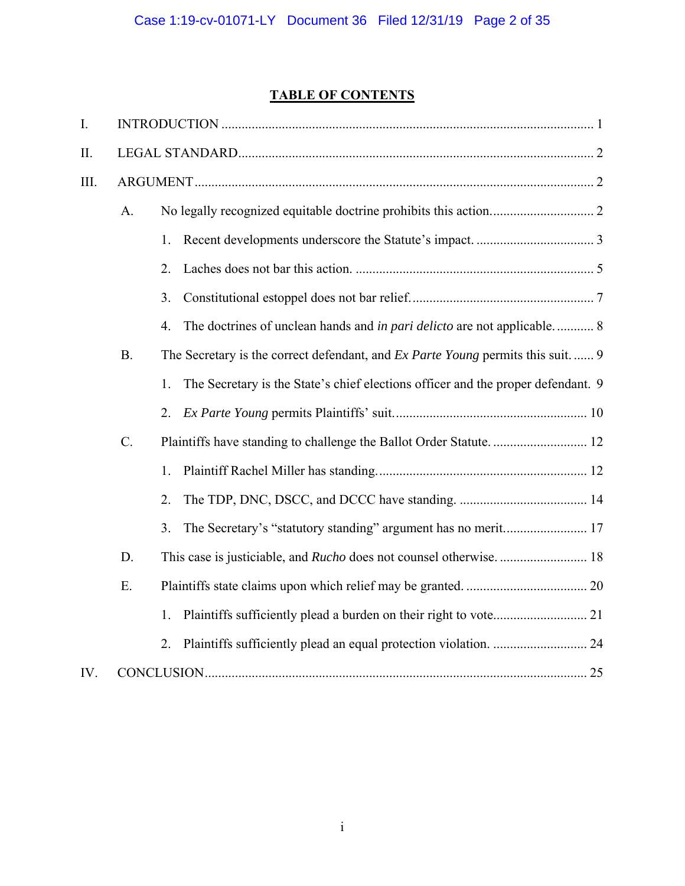# **TABLE OF CONTENTS**

| I.   |           |                                                                                         |
|------|-----------|-----------------------------------------------------------------------------------------|
| II.  |           |                                                                                         |
| III. |           |                                                                                         |
|      | A.        |                                                                                         |
|      |           | 1.                                                                                      |
|      |           | 2.                                                                                      |
|      |           | 3.                                                                                      |
|      |           | The doctrines of unclean hands and in pari delicto are not applicable 8<br>4.           |
|      | <b>B.</b> | The Secretary is the correct defendant, and <i>Ex Parte Young</i> permits this suit.  9 |
|      |           | The Secretary is the State's chief elections officer and the proper defendant. 9<br>1.  |
|      |           | 2.                                                                                      |
|      | C.        |                                                                                         |
|      |           | 1.                                                                                      |
|      |           | 2.                                                                                      |
|      |           | 3.<br>The Secretary's "statutory standing" argument has no merit 17                     |
|      | D.        |                                                                                         |
|      | Ε.        |                                                                                         |
|      |           | 1.                                                                                      |
|      |           | 2.                                                                                      |
| IV.  |           |                                                                                         |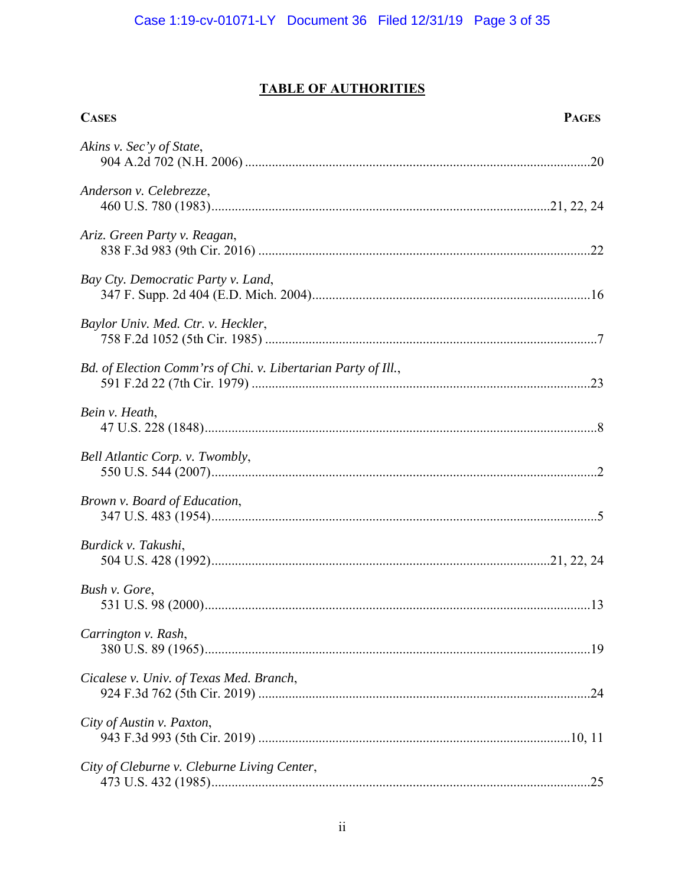# **TABLE OF AUTHORITIES**

| <b>CASES</b>                                                  | <b>PAGES</b> |
|---------------------------------------------------------------|--------------|
| Akins v. Sec'y of State,                                      |              |
| Anderson v. Celebrezze,                                       |              |
| Ariz. Green Party v. Reagan,                                  |              |
| Bay Cty. Democratic Party v. Land,                            |              |
| Baylor Univ. Med. Ctr. v. Heckler,                            |              |
| Bd. of Election Comm'rs of Chi. v. Libertarian Party of Ill., |              |
| Bein v. Heath,                                                |              |
| Bell Atlantic Corp. v. Twombly,                               |              |
| Brown v. Board of Education,                                  |              |
| Burdick v. Takushi,                                           |              |
| Bush v. Gore,                                                 | .13          |
| Carrington v. Rash,                                           |              |
| Cicalese v. Univ. of Texas Med. Branch,                       |              |
| City of Austin v. Paxton,                                     |              |
| City of Cleburne v. Cleburne Living Center,                   |              |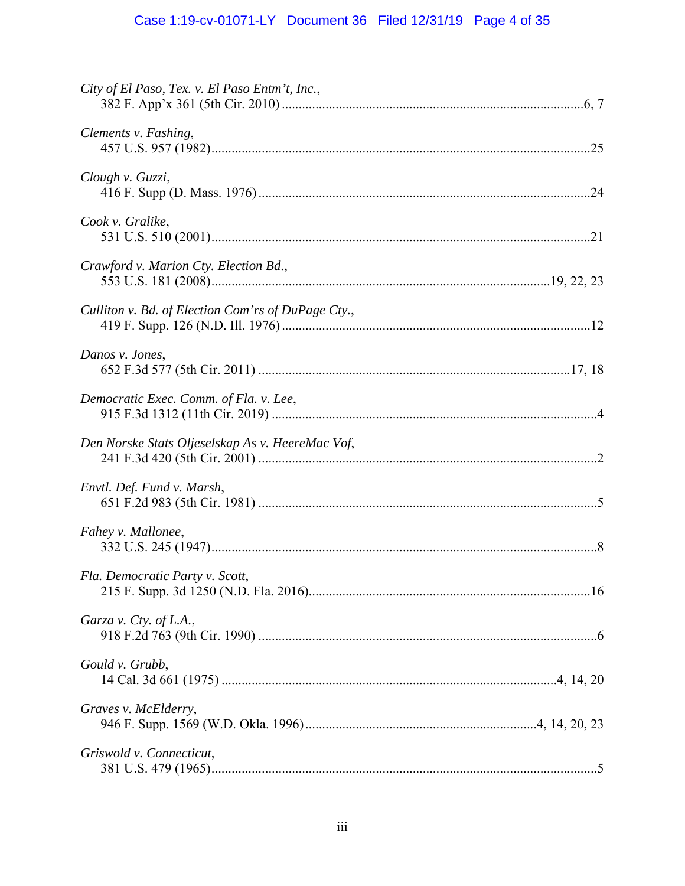# Case 1:19-cv-01071-LY Document 36 Filed 12/31/19 Page 4 of 35

| City of El Paso, Tex. v. El Paso Entm't, Inc.,     |  |
|----------------------------------------------------|--|
| Clements v. Fashing,                               |  |
| Clough v. Guzzi,                                   |  |
| Cook v. Gralike,                                   |  |
| Crawford v. Marion Cty. Election Bd.,              |  |
| Culliton v. Bd. of Election Com'rs of DuPage Cty., |  |
| Danos v. Jones,                                    |  |
| Democratic Exec. Comm. of Fla. v. Lee,             |  |
| Den Norske Stats Oljeselskap As v. HeereMac Vof,   |  |
| Envtl. Def. Fund v. Marsh,                         |  |
| Fahey v. Mallonee,                                 |  |
| Fla. Democratic Party v. Scott,                    |  |
| Garza v. Cty. of L.A.,                             |  |
| Gould v. Grubb,                                    |  |
| Graves v. McElderry,                               |  |
| Griswold v. Connecticut,                           |  |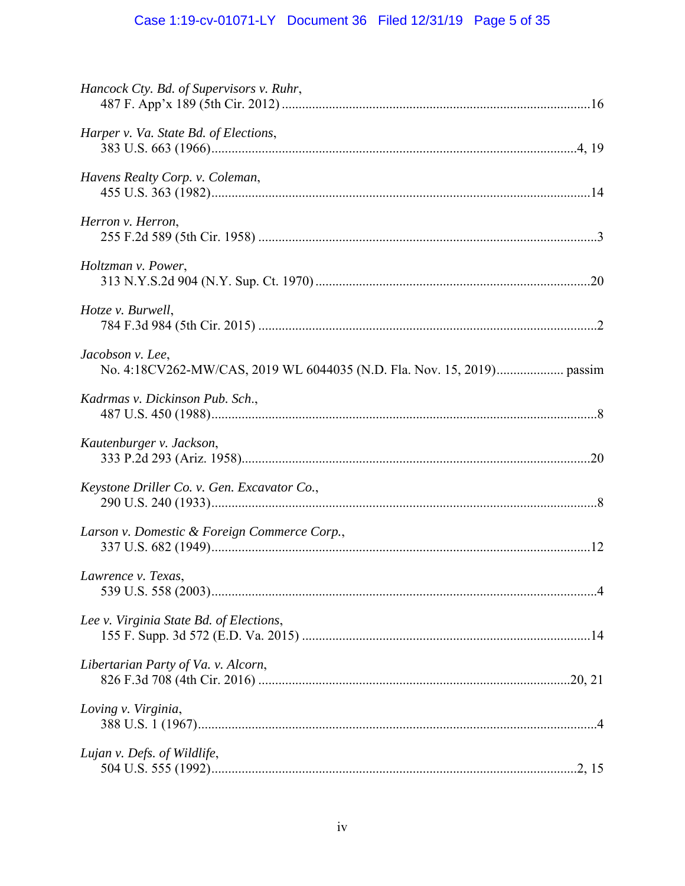# Case 1:19-cv-01071-LY Document 36 Filed 12/31/19 Page 5 of 35

| Hancock Cty. Bd. of Supervisors v. Ruhr,     |  |
|----------------------------------------------|--|
| Harper v. Va. State Bd. of Elections,        |  |
| Havens Realty Corp. v. Coleman,              |  |
| Herron v. Herron,                            |  |
| Holtzman v. Power,                           |  |
| Hotze v. Burwell,                            |  |
| Jacobson v. Lee,                             |  |
| Kadrmas v. Dickinson Pub. Sch.,              |  |
| Kautenburger v. Jackson,                     |  |
| Keystone Driller Co. v. Gen. Excavator Co.,  |  |
| Larson v. Domestic & Foreign Commerce Corp., |  |
| Lawrence v. Texas,                           |  |
| Lee v. Virginia State Bd. of Elections,      |  |
| Libertarian Party of Va. v. Alcorn,          |  |
| Loving v. Virginia,                          |  |
| Lujan v. Defs. of Wildlife,                  |  |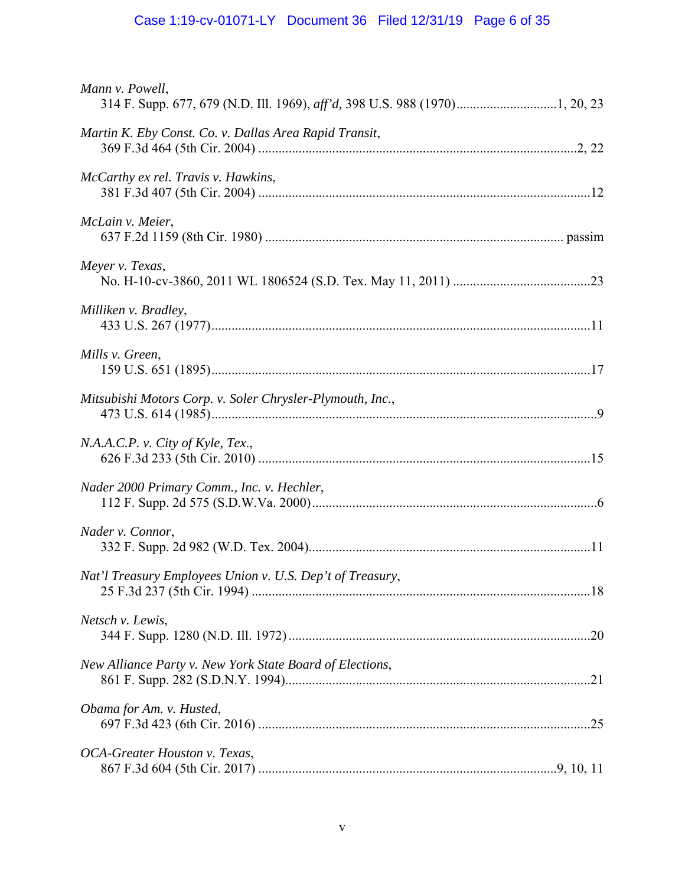# Case 1:19-cv-01071-LY Document 36 Filed 12/31/19 Page 6 of 35

| Mann v. Powell,                                           |  |
|-----------------------------------------------------------|--|
| Martin K. Eby Const. Co. v. Dallas Area Rapid Transit,    |  |
| McCarthy ex rel. Travis v. Hawkins,                       |  |
| McLain v. Meier,                                          |  |
| Meyer v. Texas,                                           |  |
| Milliken v. Bradley,                                      |  |
| Mills v. Green,                                           |  |
| Mitsubishi Motors Corp. v. Soler Chrysler-Plymouth, Inc., |  |
| N.A.A.C.P. v. City of Kyle, Tex.,                         |  |
| Nader 2000 Primary Comm., Inc. v. Hechler,                |  |
| Nader v. Connor,                                          |  |
| Nat'l Treasury Employees Union v. U.S. Dep't of Treasury, |  |
| Netsch v. Lewis,                                          |  |
| New Alliance Party v. New York State Board of Elections,  |  |
| Obama for Am. v. Husted,                                  |  |
| OCA-Greater Houston v. Texas,                             |  |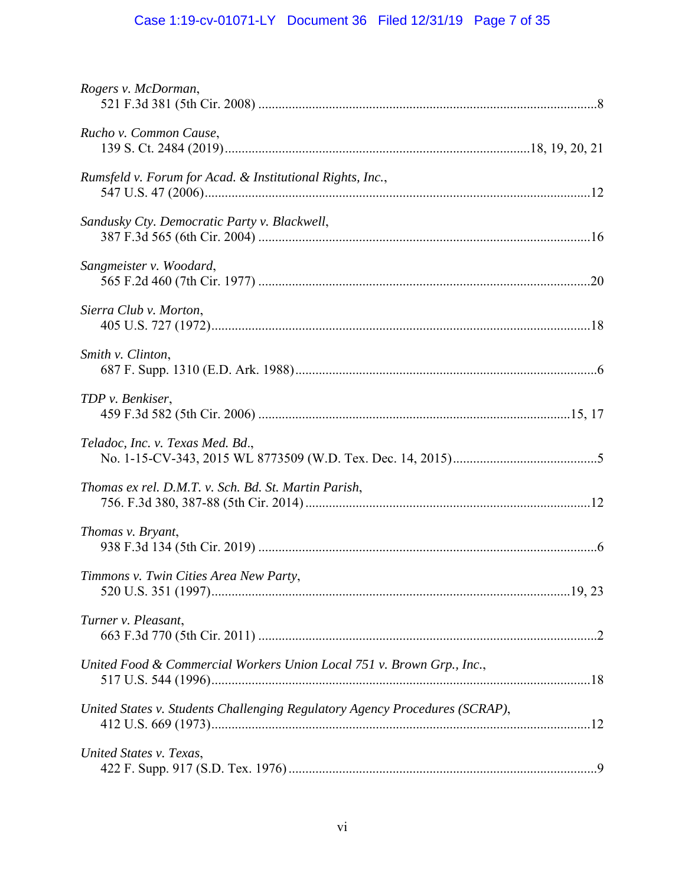# Case 1:19-cv-01071-LY Document 36 Filed 12/31/19 Page 7 of 35

| Rogers v. McDorman,                                                         |  |
|-----------------------------------------------------------------------------|--|
| Rucho v. Common Cause,                                                      |  |
| Rumsfeld v. Forum for Acad. & Institutional Rights, Inc.,                   |  |
| Sandusky Cty. Democratic Party v. Blackwell,                                |  |
| Sangmeister v. Woodard,                                                     |  |
| Sierra Club v. Morton,                                                      |  |
| Smith v. Clinton,                                                           |  |
| TDP v. Benkiser,                                                            |  |
| Teladoc, Inc. v. Texas Med. Bd.,                                            |  |
| Thomas ex rel. D.M.T. v. Sch. Bd. St. Martin Parish,                        |  |
| Thomas v. Bryant,                                                           |  |
| Timmons v. Twin Cities Area New Party,                                      |  |
| Turner v. Pleasant,                                                         |  |
| United Food & Commercial Workers Union Local 751 v. Brown Grp., Inc.,       |  |
| United States v. Students Challenging Regulatory Agency Procedures (SCRAP), |  |
| United States v. Texas,                                                     |  |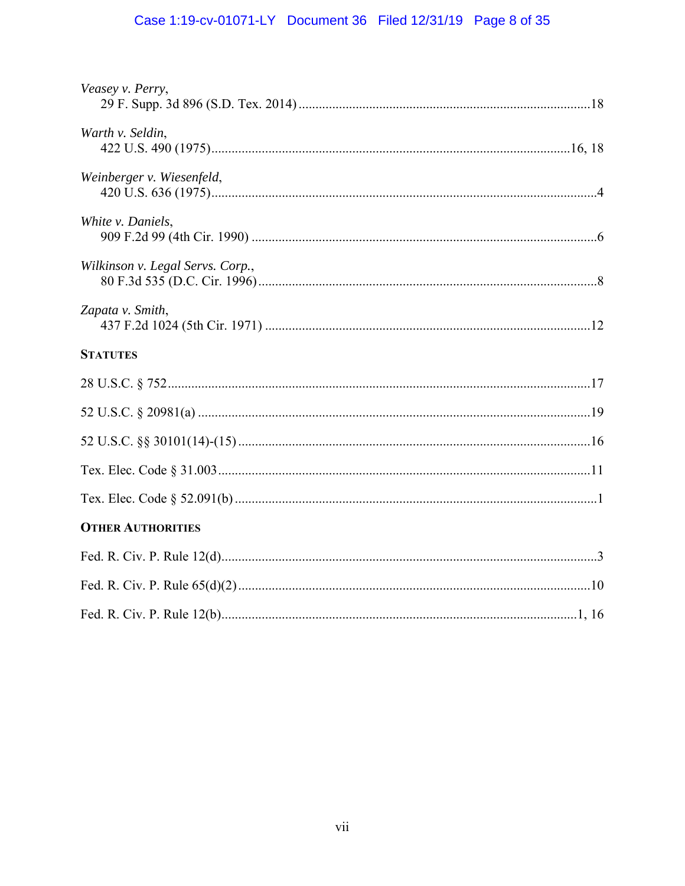# Case 1:19-cv-01071-LY Document 36 Filed 12/31/19 Page 8 of 35

| Veasey v. Perry,                 |
|----------------------------------|
| Warth v. Seldin,                 |
| Weinberger v. Wiesenfeld,        |
| White v. Daniels,                |
| Wilkinson v. Legal Servs. Corp., |
| Zapata v. Smith,                 |
| <b>STATUTES</b>                  |
|                                  |
|                                  |
|                                  |
|                                  |
|                                  |
| <b>OTHER AUTHORITIES</b>         |
|                                  |
|                                  |
|                                  |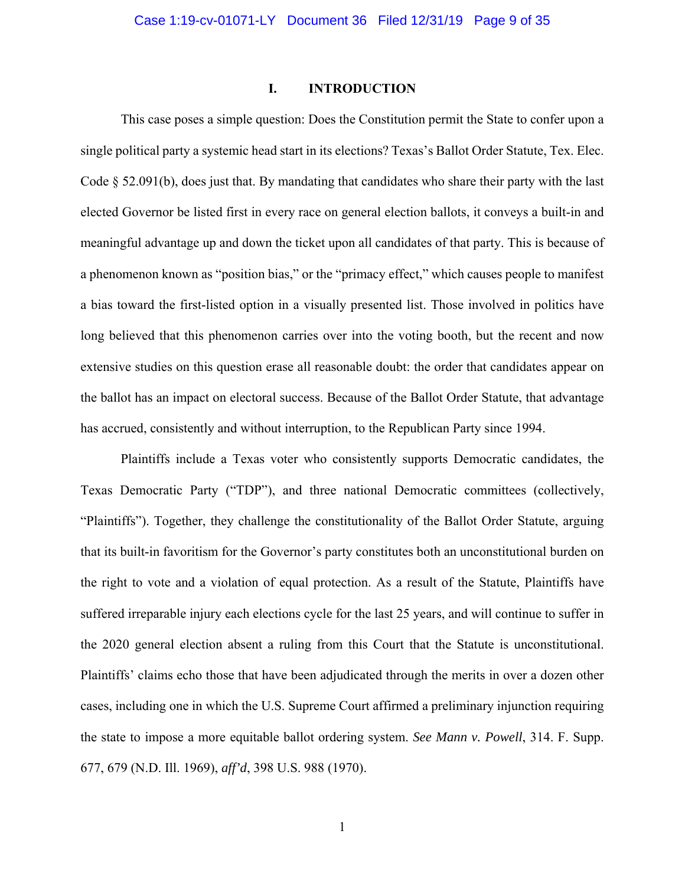## **I. INTRODUCTION**

This case poses a simple question: Does the Constitution permit the State to confer upon a single political party a systemic head start in its elections? Texas's Ballot Order Statute, Tex. Elec. Code § 52.091(b), does just that. By mandating that candidates who share their party with the last elected Governor be listed first in every race on general election ballots, it conveys a built-in and meaningful advantage up and down the ticket upon all candidates of that party. This is because of a phenomenon known as "position bias," or the "primacy effect," which causes people to manifest a bias toward the first-listed option in a visually presented list. Those involved in politics have long believed that this phenomenon carries over into the voting booth, but the recent and now extensive studies on this question erase all reasonable doubt: the order that candidates appear on the ballot has an impact on electoral success. Because of the Ballot Order Statute, that advantage has accrued, consistently and without interruption, to the Republican Party since 1994.

 Plaintiffs include a Texas voter who consistently supports Democratic candidates, the Texas Democratic Party ("TDP"), and three national Democratic committees (collectively, "Plaintiffs"). Together, they challenge the constitutionality of the Ballot Order Statute, arguing that its built-in favoritism for the Governor's party constitutes both an unconstitutional burden on the right to vote and a violation of equal protection. As a result of the Statute, Plaintiffs have suffered irreparable injury each elections cycle for the last 25 years, and will continue to suffer in the 2020 general election absent a ruling from this Court that the Statute is unconstitutional. Plaintiffs' claims echo those that have been adjudicated through the merits in over a dozen other cases, including one in which the U.S. Supreme Court affirmed a preliminary injunction requiring the state to impose a more equitable ballot ordering system. *See Mann v. Powell*, 314. F. Supp. 677, 679 (N.D. Ill. 1969), *aff'd*, 398 U.S. 988 (1970).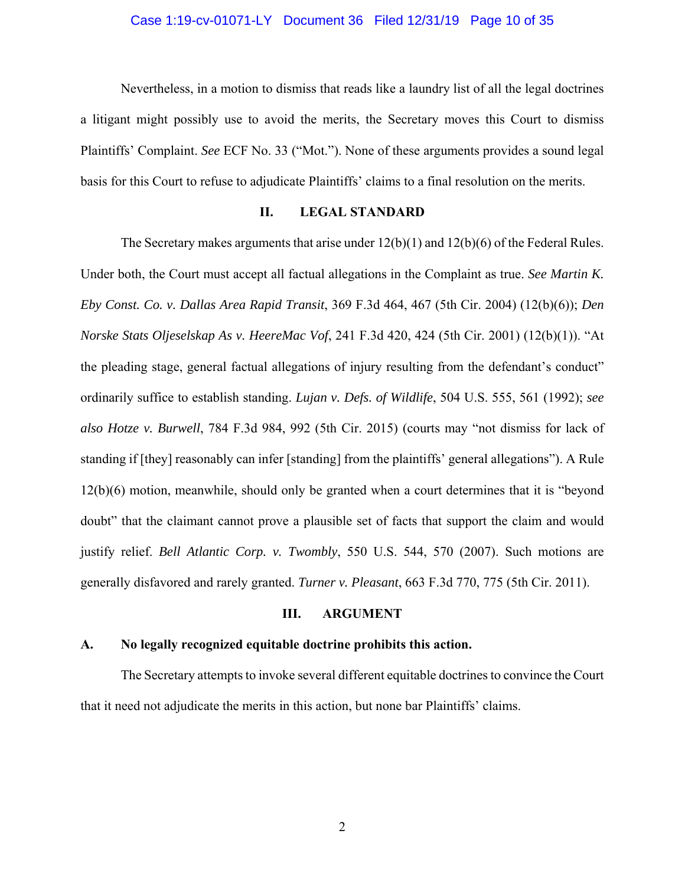# Case 1:19-cv-01071-LY Document 36 Filed 12/31/19 Page 10 of 35

 Nevertheless, in a motion to dismiss that reads like a laundry list of all the legal doctrines a litigant might possibly use to avoid the merits, the Secretary moves this Court to dismiss Plaintiffs' Complaint. *See* ECF No. 33 ("Mot."). None of these arguments provides a sound legal basis for this Court to refuse to adjudicate Plaintiffs' claims to a final resolution on the merits.

# **II. LEGAL STANDARD**

The Secretary makes arguments that arise under  $12(b)(1)$  and  $12(b)(6)$  of the Federal Rules. Under both, the Court must accept all factual allegations in the Complaint as true. *See Martin K. Eby Const. Co. v. Dallas Area Rapid Transit*, 369 F.3d 464, 467 (5th Cir. 2004) (12(b)(6)); *Den Norske Stats Oljeselskap As v. HeereMac Vof*, 241 F.3d 420, 424 (5th Cir. 2001) (12(b)(1)). "At the pleading stage, general factual allegations of injury resulting from the defendant's conduct" ordinarily suffice to establish standing. *Lujan v. Defs. of Wildlife*, 504 U.S. 555, 561 (1992); *see also Hotze v. Burwell*, 784 F.3d 984, 992 (5th Cir. 2015) (courts may "not dismiss for lack of standing if [they] reasonably can infer [standing] from the plaintiffs' general allegations"). A Rule 12(b)(6) motion, meanwhile, should only be granted when a court determines that it is "beyond doubt" that the claimant cannot prove a plausible set of facts that support the claim and would justify relief. *Bell Atlantic Corp. v. Twombly*, 550 U.S. 544, 570 (2007). Such motions are generally disfavored and rarely granted. *Turner v. Pleasant*, 663 F.3d 770, 775 (5th Cir. 2011).

# **III. ARGUMENT**

#### **A. No legally recognized equitable doctrine prohibits this action.**

The Secretary attempts to invoke several different equitable doctrines to convince the Court that it need not adjudicate the merits in this action, but none bar Plaintiffs' claims.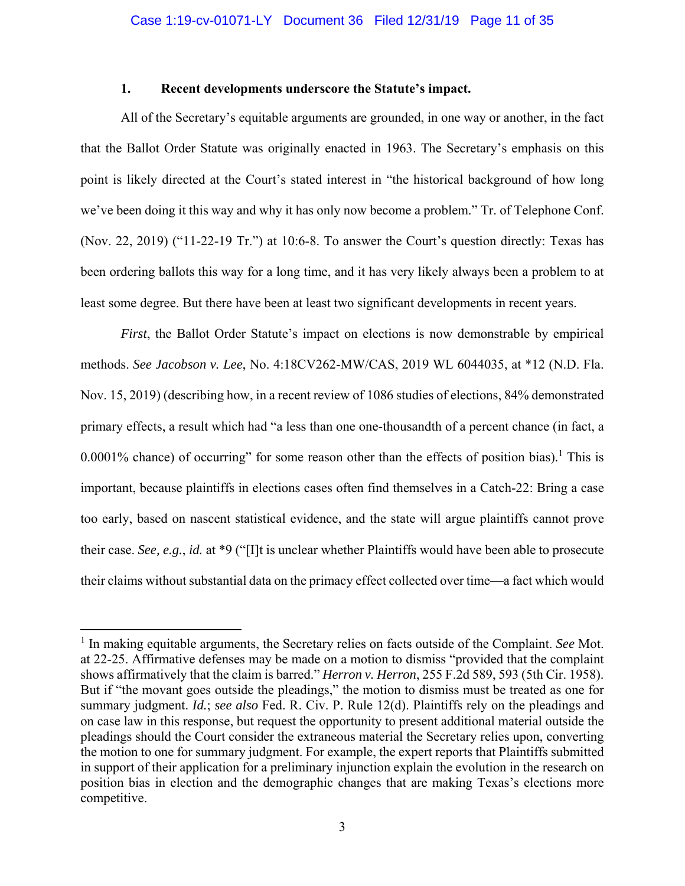# **1. Recent developments underscore the Statute's impact.**

 All of the Secretary's equitable arguments are grounded, in one way or another, in the fact that the Ballot Order Statute was originally enacted in 1963. The Secretary's emphasis on this point is likely directed at the Court's stated interest in "the historical background of how long we've been doing it this way and why it has only now become a problem." Tr. of Telephone Conf. (Nov. 22, 2019) ("11-22-19 Tr.") at 10:6-8. To answer the Court's question directly: Texas has been ordering ballots this way for a long time, and it has very likely always been a problem to at least some degree. But there have been at least two significant developments in recent years.

*First*, the Ballot Order Statute's impact on elections is now demonstrable by empirical methods. *See Jacobson v. Lee*, No. 4:18CV262-MW/CAS, 2019 WL 6044035, at \*12 (N.D. Fla. Nov. 15, 2019) (describing how, in a recent review of 1086 studies of elections, 84% demonstrated primary effects, a result which had "a less than one one-thousandth of a percent chance (in fact, a 0.0001% chance) of occurring" for some reason other than the effects of position bias)*.* 1 This is important, because plaintiffs in elections cases often find themselves in a Catch-22: Bring a case too early, based on nascent statistical evidence, and the state will argue plaintiffs cannot prove their case. *See, e.g.*, *id.* at \*9 ("[I]t is unclear whether Plaintiffs would have been able to prosecute their claims without substantial data on the primacy effect collected over time—a fact which would

<sup>&</sup>lt;sup>1</sup> In making equitable arguments, the Secretary relies on facts outside of the Complaint. See Mot. at 22-25. Affirmative defenses may be made on a motion to dismiss "provided that the complaint shows affirmatively that the claim is barred." *Herron v. Herron*, 255 F.2d 589, 593 (5th Cir. 1958). But if "the movant goes outside the pleadings," the motion to dismiss must be treated as one for summary judgment. *Id.*; *see also* Fed. R. Civ. P. Rule 12(d). Plaintiffs rely on the pleadings and on case law in this response, but request the opportunity to present additional material outside the pleadings should the Court consider the extraneous material the Secretary relies upon, converting the motion to one for summary judgment. For example, the expert reports that Plaintiffs submitted in support of their application for a preliminary injunction explain the evolution in the research on position bias in election and the demographic changes that are making Texas's elections more competitive.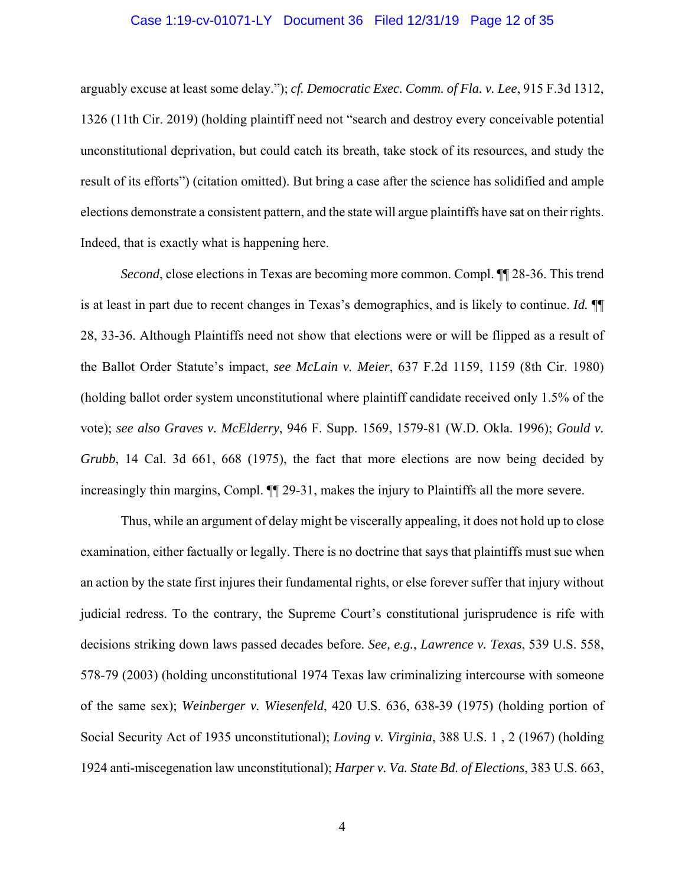# Case 1:19-cv-01071-LY Document 36 Filed 12/31/19 Page 12 of 35

arguably excuse at least some delay."); *cf. Democratic Exec. Comm. of Fla. v. Lee*, 915 F.3d 1312, 1326 (11th Cir. 2019) (holding plaintiff need not "search and destroy every conceivable potential unconstitutional deprivation, but could catch its breath, take stock of its resources, and study the result of its efforts") (citation omitted). But bring a case after the science has solidified and ample elections demonstrate a consistent pattern, and the state will argue plaintiffs have sat on their rights. Indeed, that is exactly what is happening here.

*Second*, close elections in Texas are becoming more common. Compl.  $\P$  28-36. This trend is at least in part due to recent changes in Texas's demographics, and is likely to continue. *Id.* ¶¶ 28, 33-36. Although Plaintiffs need not show that elections were or will be flipped as a result of the Ballot Order Statute's impact, *see McLain v. Meier*, 637 F.2d 1159, 1159 (8th Cir. 1980) (holding ballot order system unconstitutional where plaintiff candidate received only 1.5% of the vote); *see also Graves v. McElderry*, 946 F. Supp. 1569, 1579-81 (W.D. Okla. 1996); *Gould v. Grubb*, 14 Cal. 3d 661, 668 (1975), the fact that more elections are now being decided by increasingly thin margins, Compl.  $\P$ [29-31, makes the injury to Plaintiffs all the more severe.

 Thus, while an argument of delay might be viscerally appealing, it does not hold up to close examination, either factually or legally. There is no doctrine that says that plaintiffs must sue when an action by the state first injures their fundamental rights, or else forever suffer that injury without judicial redress. To the contrary, the Supreme Court's constitutional jurisprudence is rife with decisions striking down laws passed decades before. *See, e.g.*, *Lawrence v. Texas*, 539 U.S. 558, 578-79 (2003) (holding unconstitutional 1974 Texas law criminalizing intercourse with someone of the same sex); *Weinberger v. Wiesenfeld*, 420 U.S. 636, 638-39 (1975) (holding portion of Social Security Act of 1935 unconstitutional); *Loving v. Virginia*, 388 U.S. 1 , 2 (1967) (holding 1924 anti-miscegenation law unconstitutional); *Harper v. Va. State Bd. of Elections*, 383 U.S. 663,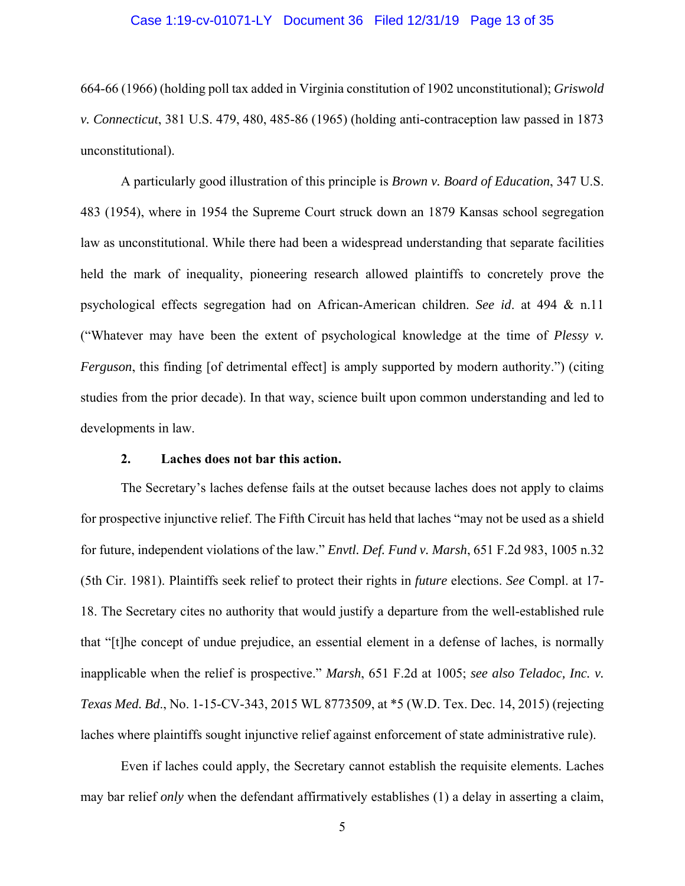# Case 1:19-cv-01071-LY Document 36 Filed 12/31/19 Page 13 of 35

664-66 (1966) (holding poll tax added in Virginia constitution of 1902 unconstitutional); *Griswold v. Connecticut*, 381 U.S. 479, 480, 485-86 (1965) (holding anti-contraception law passed in 1873 unconstitutional).

 A particularly good illustration of this principle is *Brown v. Board of Education*, 347 U.S. 483 (1954), where in 1954 the Supreme Court struck down an 1879 Kansas school segregation law as unconstitutional. While there had been a widespread understanding that separate facilities held the mark of inequality, pioneering research allowed plaintiffs to concretely prove the psychological effects segregation had on African-American children. *See id*. at 494 & n.11 ("Whatever may have been the extent of psychological knowledge at the time of *Plessy v. Ferguson*, this finding [of detrimental effect] is amply supported by modern authority.") (citing studies from the prior decade). In that way, science built upon common understanding and led to developments in law.

#### **2. Laches does not bar this action.**

 The Secretary's laches defense fails at the outset because laches does not apply to claims for prospective injunctive relief. The Fifth Circuit has held that laches "may not be used as a shield for future, independent violations of the law." *Envtl. Def. Fund v. Marsh*, 651 F.2d 983, 1005 n.32 (5th Cir. 1981). Plaintiffs seek relief to protect their rights in *future* elections. *See* Compl. at 17- 18. The Secretary cites no authority that would justify a departure from the well-established rule that "[t]he concept of undue prejudice, an essential element in a defense of laches, is normally inapplicable when the relief is prospective." *Marsh*, 651 F.2d at 1005; *see also Teladoc, Inc. v. Texas Med. Bd*., No. 1-15-CV-343, 2015 WL 8773509, at \*5 (W.D. Tex. Dec. 14, 2015) (rejecting laches where plaintiffs sought injunctive relief against enforcement of state administrative rule).

 Even if laches could apply, the Secretary cannot establish the requisite elements. Laches may bar relief *only* when the defendant affirmatively establishes (1) a delay in asserting a claim,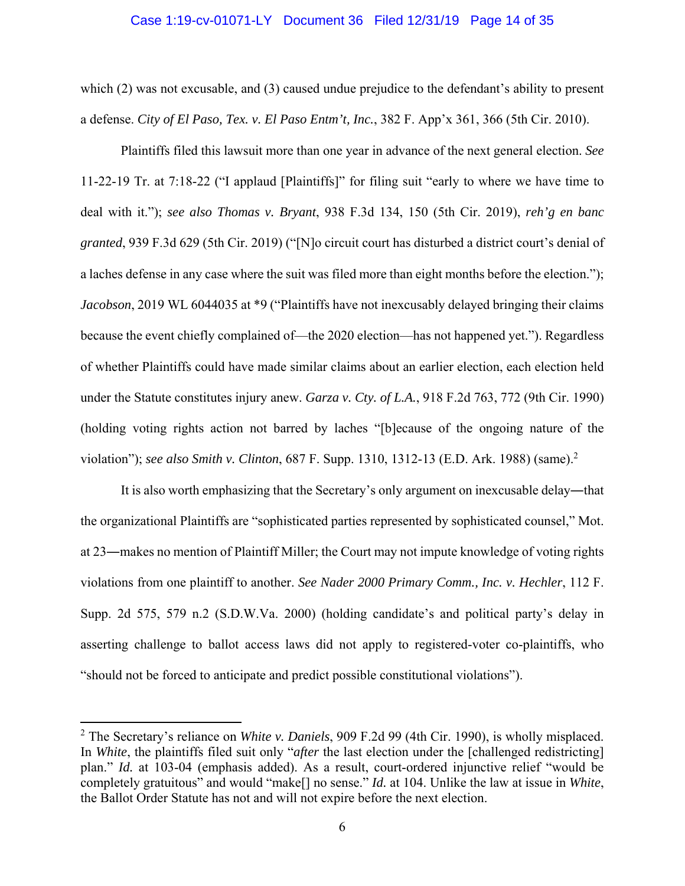## Case 1:19-cv-01071-LY Document 36 Filed 12/31/19 Page 14 of 35

which (2) was not excusable, and (3) caused undue prejudice to the defendant's ability to present a defense. *City of El Paso, Tex. v. El Paso Entm't, Inc.*, 382 F. App'x 361, 366 (5th Cir. 2010).

 Plaintiffs filed this lawsuit more than one year in advance of the next general election. *See*  11-22-19 Tr. at 7:18-22 ("I applaud [Plaintiffs]" for filing suit "early to where we have time to deal with it."); *see also Thomas v. Bryant*, 938 F.3d 134, 150 (5th Cir. 2019), *reh'g en banc granted*, 939 F.3d 629 (5th Cir. 2019) ("[N]o circuit court has disturbed a district court's denial of a laches defense in any case where the suit was filed more than eight months before the election."); *Jacobson*, 2019 WL 6044035 at \*9 ("Plaintiffs have not inexcusably delayed bringing their claims because the event chiefly complained of—the 2020 election—has not happened yet."). Regardless of whether Plaintiffs could have made similar claims about an earlier election, each election held under the Statute constitutes injury anew. *Garza v. Cty. of L.A.*, 918 F.2d 763, 772 (9th Cir. 1990) (holding voting rights action not barred by laches "[b]ecause of the ongoing nature of the violation"); *see also Smith v. Clinton*, 687 F. Supp. 1310, 1312-13 (E.D. Ark. 1988) (same).<sup>2</sup>

 It is also worth emphasizing that the Secretary's only argument on inexcusable delay―that the organizational Plaintiffs are "sophisticated parties represented by sophisticated counsel," Mot. at 23―makes no mention of Plaintiff Miller; the Court may not impute knowledge of voting rights violations from one plaintiff to another. *See Nader 2000 Primary Comm., Inc. v. Hechler*, 112 F. Supp. 2d 575, 579 n.2 (S.D.W.Va. 2000) (holding candidate's and political party's delay in asserting challenge to ballot access laws did not apply to registered-voter co-plaintiffs, who "should not be forced to anticipate and predict possible constitutional violations").

<sup>2</sup> The Secretary's reliance on *White v. Daniels*, 909 F.2d 99 (4th Cir. 1990), is wholly misplaced. In *White*, the plaintiffs filed suit only "*after* the last election under the [challenged redistricting] plan." *Id.* at 103-04 (emphasis added). As a result, court-ordered injunctive relief "would be completely gratuitous" and would "make[] no sense." *Id.* at 104. Unlike the law at issue in *White*, the Ballot Order Statute has not and will not expire before the next election.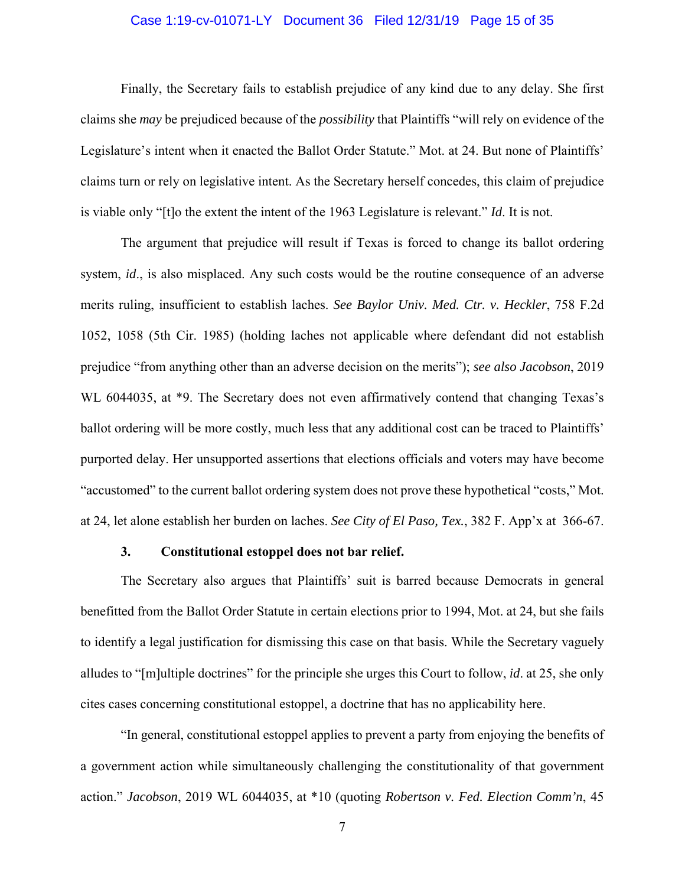# Case 1:19-cv-01071-LY Document 36 Filed 12/31/19 Page 15 of 35

 Finally, the Secretary fails to establish prejudice of any kind due to any delay. She first claims she *may* be prejudiced because of the *possibility* that Plaintiffs "will rely on evidence of the Legislature's intent when it enacted the Ballot Order Statute." Mot. at 24. But none of Plaintiffs' claims turn or rely on legislative intent. As the Secretary herself concedes, this claim of prejudice is viable only "[t]o the extent the intent of the 1963 Legislature is relevant." *Id*. It is not.

 The argument that prejudice will result if Texas is forced to change its ballot ordering system, *id*., is also misplaced. Any such costs would be the routine consequence of an adverse merits ruling, insufficient to establish laches. *See Baylor Univ. Med. Ctr. v. Heckler*, 758 F.2d 1052, 1058 (5th Cir. 1985) (holding laches not applicable where defendant did not establish prejudice "from anything other than an adverse decision on the merits"); *see also Jacobson*, 2019 WL 6044035, at \*9. The Secretary does not even affirmatively contend that changing Texas's ballot ordering will be more costly, much less that any additional cost can be traced to Plaintiffs' purported delay. Her unsupported assertions that elections officials and voters may have become "accustomed" to the current ballot ordering system does not prove these hypothetical "costs," Mot. at 24, let alone establish her burden on laches. *See City of El Paso, Tex.*, 382 F. App'x at 366-67.

# **3. Constitutional estoppel does not bar relief.**

 The Secretary also argues that Plaintiffs' suit is barred because Democrats in general benefitted from the Ballot Order Statute in certain elections prior to 1994, Mot. at 24, but she fails to identify a legal justification for dismissing this case on that basis. While the Secretary vaguely alludes to "[m]ultiple doctrines" for the principle she urges this Court to follow, *id*. at 25, she only cites cases concerning constitutional estoppel, a doctrine that has no applicability here.

 "In general, constitutional estoppel applies to prevent a party from enjoying the benefits of a government action while simultaneously challenging the constitutionality of that government action." *Jacobson*, 2019 WL 6044035, at \*10 (quoting *Robertson v. Fed. Election Comm'n*, 45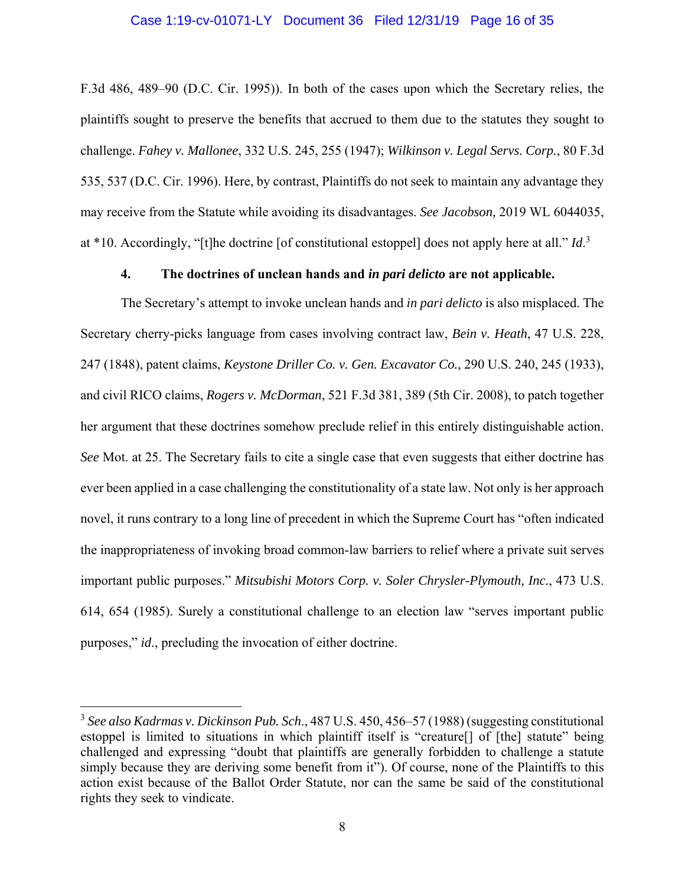# Case 1:19-cv-01071-LY Document 36 Filed 12/31/19 Page 16 of 35

F.3d 486, 489–90 (D.C. Cir. 1995)). In both of the cases upon which the Secretary relies, the plaintiffs sought to preserve the benefits that accrued to them due to the statutes they sought to challenge. *Fahey v. Mallonee*, 332 U.S. 245, 255 (1947); *Wilkinson v. Legal Servs. Corp.*, 80 F.3d 535, 537 (D.C. Cir. 1996). Here, by contrast, Plaintiffs do not seek to maintain any advantage they may receive from the Statute while avoiding its disadvantages. *See Jacobson,* 2019 WL 6044035, at \*10. Accordingly, "[t]he doctrine [of constitutional estoppel] does not apply here at all." *Id*. 3

# **4. The doctrines of unclean hands and** *in pari delicto* **are not applicable.**

 The Secretary's attempt to invoke unclean hands and *in pari delicto* is also misplaced. The Secretary cherry-picks language from cases involving contract law, *Bein v. Heath*, 47 U.S. 228, 247 (1848), patent claims, *Keystone Driller Co. v. Gen. Excavator Co.*, 290 U.S. 240, 245 (1933), and civil RICO claims, *Rogers v. McDorman*, 521 F.3d 381, 389 (5th Cir. 2008), to patch together her argument that these doctrines somehow preclude relief in this entirely distinguishable action. *See* Mot. at 25. The Secretary fails to cite a single case that even suggests that either doctrine has ever been applied in a case challenging the constitutionality of a state law. Not only is her approach novel, it runs contrary to a long line of precedent in which the Supreme Court has "often indicated the inappropriateness of invoking broad common-law barriers to relief where a private suit serves important public purposes." *Mitsubishi Motors Corp. v. Soler Chrysler-Plymouth, Inc.*, 473 U.S. 614, 654 (1985). Surely a constitutional challenge to an election law "serves important public purposes," *id*., precluding the invocation of either doctrine.

<sup>3</sup> *See also Kadrmas v. Dickinson Pub. Sch*., 487 U.S. 450, 456–57 (1988) (suggesting constitutional estoppel is limited to situations in which plaintiff itself is "creature[] of [the] statute" being challenged and expressing "doubt that plaintiffs are generally forbidden to challenge a statute simply because they are deriving some benefit from it"). Of course, none of the Plaintiffs to this action exist because of the Ballot Order Statute, nor can the same be said of the constitutional rights they seek to vindicate.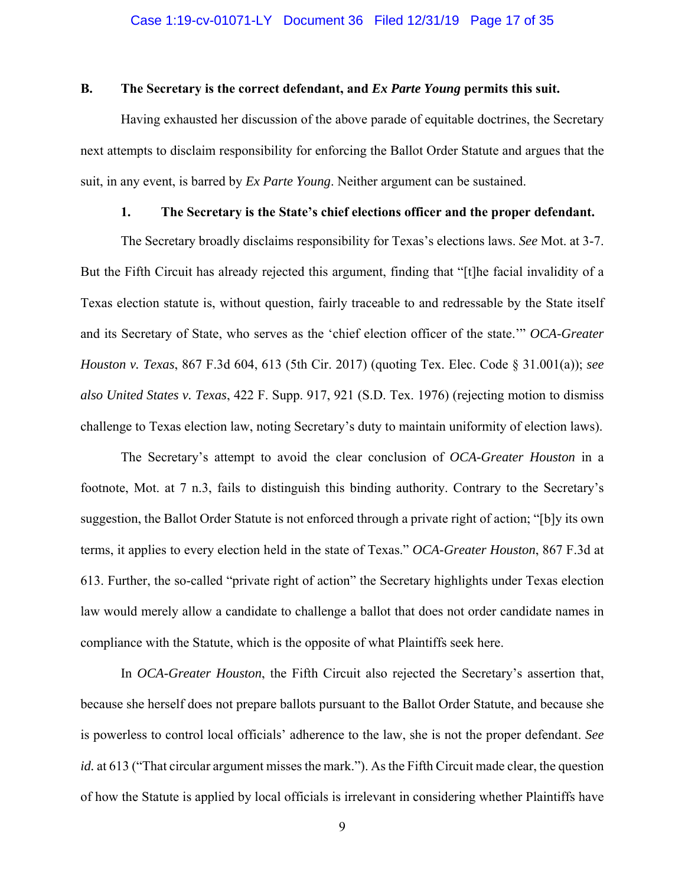## **B. The Secretary is the correct defendant, and** *Ex Parte Young* **permits this suit.**

 Having exhausted her discussion of the above parade of equitable doctrines, the Secretary next attempts to disclaim responsibility for enforcing the Ballot Order Statute and argues that the suit, in any event, is barred by *Ex Parte Young*. Neither argument can be sustained.

# **1. The Secretary is the State's chief elections officer and the proper defendant.**

The Secretary broadly disclaims responsibility for Texas's elections laws. *See* Mot. at 3-7. But the Fifth Circuit has already rejected this argument, finding that "[t]he facial invalidity of a Texas election statute is, without question, fairly traceable to and redressable by the State itself and its Secretary of State, who serves as the 'chief election officer of the state.'" *OCA-Greater Houston v. Texas*, 867 F.3d 604, 613 (5th Cir. 2017) (quoting Tex. Elec. Code § 31.001(a)); *see also United States v. Texas*, 422 F. Supp. 917, 921 (S.D. Tex. 1976) (rejecting motion to dismiss challenge to Texas election law, noting Secretary's duty to maintain uniformity of election laws).

 The Secretary's attempt to avoid the clear conclusion of *OCA-Greater Houston* in a footnote, Mot. at 7 n.3, fails to distinguish this binding authority. Contrary to the Secretary's suggestion, the Ballot Order Statute is not enforced through a private right of action; "[b]y its own terms, it applies to every election held in the state of Texas." *OCA-Greater Houston*, 867 F.3d at 613. Further, the so-called "private right of action" the Secretary highlights under Texas election law would merely allow a candidate to challenge a ballot that does not order candidate names in compliance with the Statute, which is the opposite of what Plaintiffs seek here.

 In *OCA-Greater Houston*, the Fifth Circuit also rejected the Secretary's assertion that, because she herself does not prepare ballots pursuant to the Ballot Order Statute, and because she is powerless to control local officials' adherence to the law, she is not the proper defendant. *See id.* at 613 ("That circular argument misses the mark."). As the Fifth Circuit made clear, the question of how the Statute is applied by local officials is irrelevant in considering whether Plaintiffs have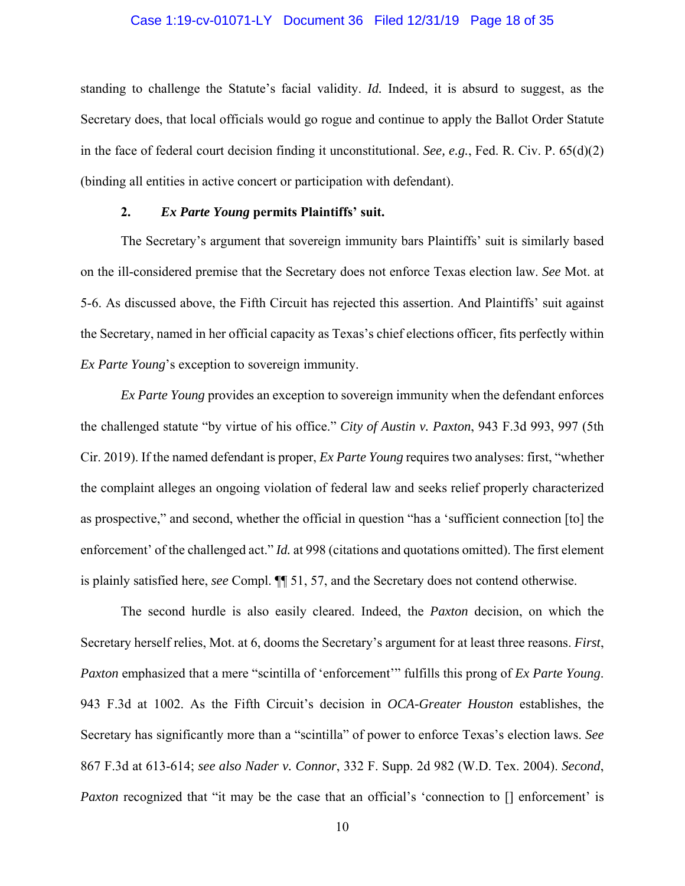## Case 1:19-cv-01071-LY Document 36 Filed 12/31/19 Page 18 of 35

standing to challenge the Statute's facial validity. *Id.* Indeed, it is absurd to suggest, as the Secretary does, that local officials would go rogue and continue to apply the Ballot Order Statute in the face of federal court decision finding it unconstitutional. *See, e.g.*, Fed. R. Civ. P. 65(d)(2) (binding all entities in active concert or participation with defendant).

# **2.** *Ex Parte Young* **permits Plaintiffs' suit.**

The Secretary's argument that sovereign immunity bars Plaintiffs' suit is similarly based on the ill-considered premise that the Secretary does not enforce Texas election law. *See* Mot. at 5-6. As discussed above, the Fifth Circuit has rejected this assertion. And Plaintiffs' suit against the Secretary, named in her official capacity as Texas's chief elections officer, fits perfectly within *Ex Parte Young*'s exception to sovereign immunity.

*Ex Parte Young* provides an exception to sovereign immunity when the defendant enforces the challenged statute "by virtue of his office." *City of Austin v. Paxton*, 943 F.3d 993, 997 (5th Cir. 2019). If the named defendant is proper, *Ex Parte Young* requires two analyses: first, "whether the complaint alleges an ongoing violation of federal law and seeks relief properly characterized as prospective," and second, whether the official in question "has a 'sufficient connection [to] the enforcement' of the challenged act." *Id.* at 998 (citations and quotations omitted). The first element is plainly satisfied here, *see* Compl. ¶¶ 51, 57, and the Secretary does not contend otherwise.

 The second hurdle is also easily cleared. Indeed, the *Paxton* decision, on which the Secretary herself relies, Mot. at 6, dooms the Secretary's argument for at least three reasons. *First*, *Paxton* emphasized that a mere "scintilla of 'enforcement'" fulfills this prong of *Ex Parte Young*. 943 F.3d at 1002. As the Fifth Circuit's decision in *OCA-Greater Houston* establishes, the Secretary has significantly more than a "scintilla" of power to enforce Texas's election laws. *See* 867 F.3d at 613-614; *see also Nader v. Connor*, 332 F. Supp. 2d 982 (W.D. Tex. 2004). *Second*, *Paxton* recognized that "it may be the case that an official's 'connection to [] enforcement' is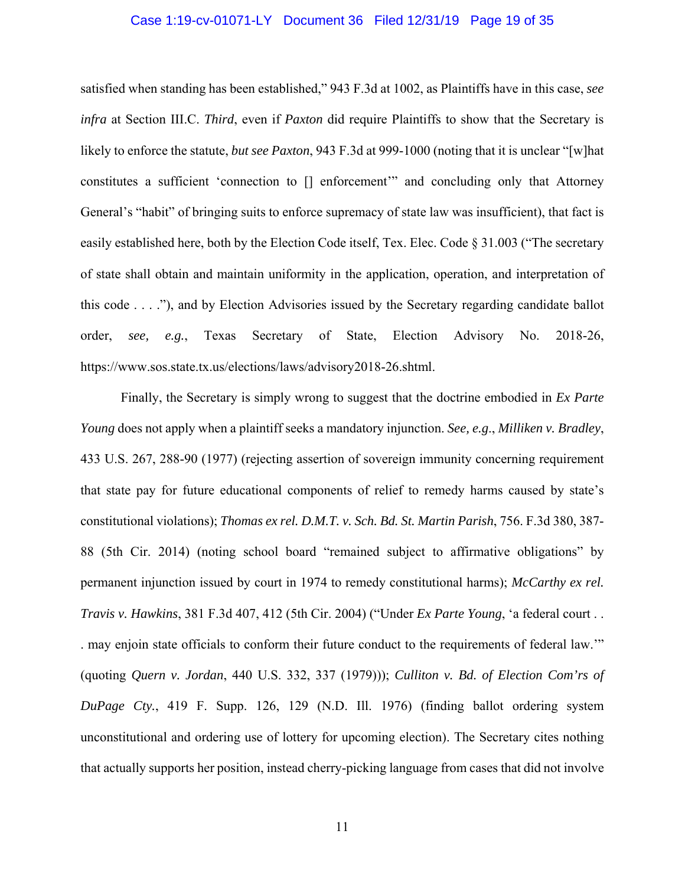# Case 1:19-cv-01071-LY Document 36 Filed 12/31/19 Page 19 of 35

satisfied when standing has been established," 943 F.3d at 1002, as Plaintiffs have in this case, *see infra* at Section III.C. *Third*, even if *Paxton* did require Plaintiffs to show that the Secretary is likely to enforce the statute, *but see Paxton*, 943 F.3d at 999-1000 (noting that it is unclear "[w]hat constitutes a sufficient 'connection to [] enforcement'" and concluding only that Attorney General's "habit" of bringing suits to enforce supremacy of state law was insufficient), that fact is easily established here, both by the Election Code itself, Tex. Elec. Code § 31.003 ("The secretary of state shall obtain and maintain uniformity in the application, operation, and interpretation of this code . . . ."), and by Election Advisories issued by the Secretary regarding candidate ballot order, *see, e.g.*, Texas Secretary of State, Election Advisory No. 2018-26, https://www.sos.state.tx.us/elections/laws/advisory2018-26.shtml.

 Finally, the Secretary is simply wrong to suggest that the doctrine embodied in *Ex Parte Young* does not apply when a plaintiff seeks a mandatory injunction. *See, e.g*., *Milliken v. Bradley*, 433 U.S. 267, 288-90 (1977) (rejecting assertion of sovereign immunity concerning requirement that state pay for future educational components of relief to remedy harms caused by state's constitutional violations); *Thomas ex rel. D.M.T. v. Sch. Bd. St. Martin Parish*, 756. F.3d 380, 387- 88 (5th Cir. 2014) (noting school board "remained subject to affirmative obligations" by permanent injunction issued by court in 1974 to remedy constitutional harms); *McCarthy ex rel. Travis v. Hawkins*, 381 F.3d 407, 412 (5th Cir. 2004) ("Under *Ex Parte Young*, 'a federal court . . . may enjoin state officials to conform their future conduct to the requirements of federal law.'" (quoting *Quern v. Jordan*, 440 U.S. 332, 337 (1979))); *Culliton v. Bd. of Election Com'rs of DuPage Cty.*, 419 F. Supp. 126, 129 (N.D. Ill. 1976) (finding ballot ordering system unconstitutional and ordering use of lottery for upcoming election). The Secretary cites nothing that actually supports her position, instead cherry-picking language from cases that did not involve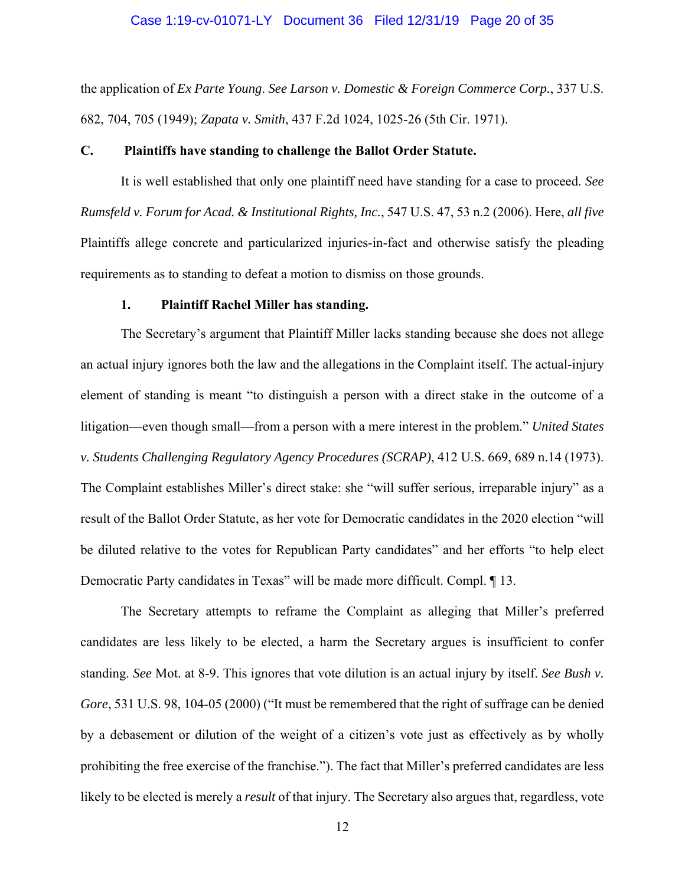#### Case 1:19-cv-01071-LY Document 36 Filed 12/31/19 Page 20 of 35

the application of *Ex Parte Young*. *See Larson v. Domestic & Foreign Commerce Corp.*, 337 U.S. 682, 704, 705 (1949); *Zapata v. Smith*, 437 F.2d 1024, 1025-26 (5th Cir. 1971).

#### **C. Plaintiffs have standing to challenge the Ballot Order Statute.**

It is well established that only one plaintiff need have standing for a case to proceed. *See Rumsfeld v. Forum for Acad. & Institutional Rights, Inc.*, 547 U.S. 47, 53 n.2 (2006). Here, *all five*  Plaintiffs allege concrete and particularized injuries-in-fact and otherwise satisfy the pleading requirements as to standing to defeat a motion to dismiss on those grounds.

#### **1. Plaintiff Rachel Miller has standing.**

The Secretary's argument that Plaintiff Miller lacks standing because she does not allege an actual injury ignores both the law and the allegations in the Complaint itself. The actual-injury element of standing is meant "to distinguish a person with a direct stake in the outcome of a litigation—even though small—from a person with a mere interest in the problem." *United States v. Students Challenging Regulatory Agency Procedures (SCRAP)*, 412 U.S. 669, 689 n.14 (1973). The Complaint establishes Miller's direct stake: she "will suffer serious, irreparable injury" as a result of the Ballot Order Statute, as her vote for Democratic candidates in the 2020 election "will be diluted relative to the votes for Republican Party candidates" and her efforts "to help elect Democratic Party candidates in Texas" will be made more difficult. Compl. ¶ 13.

The Secretary attempts to reframe the Complaint as alleging that Miller's preferred candidates are less likely to be elected, a harm the Secretary argues is insufficient to confer standing. *See* Mot. at 8-9. This ignores that vote dilution is an actual injury by itself. *See Bush v. Gore*, 531 U.S. 98, 104-05 (2000) ("It must be remembered that the right of suffrage can be denied by a debasement or dilution of the weight of a citizen's vote just as effectively as by wholly prohibiting the free exercise of the franchise."). The fact that Miller's preferred candidates are less likely to be elected is merely a *result* of that injury. The Secretary also argues that, regardless, vote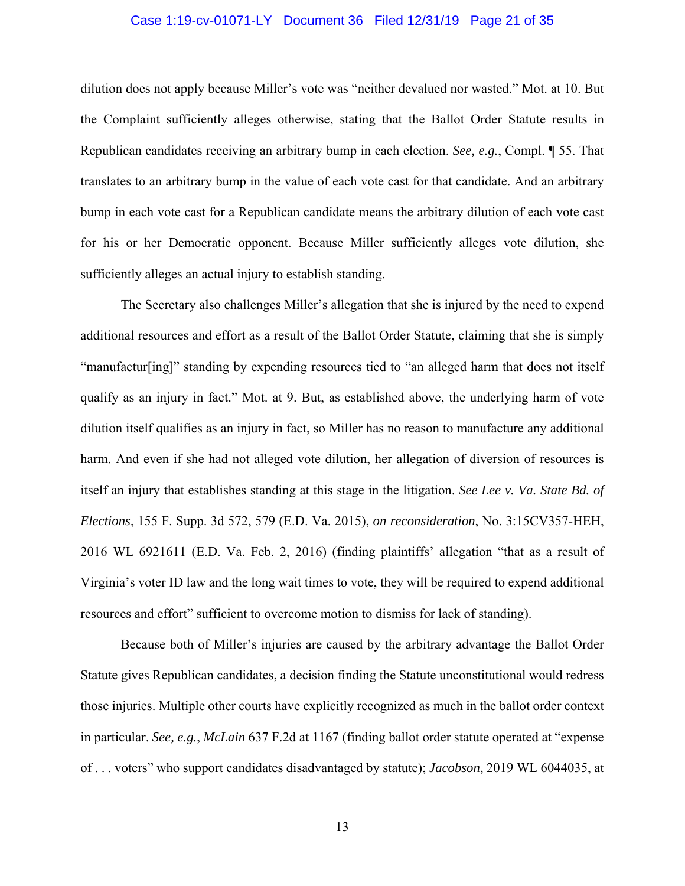# Case 1:19-cv-01071-LY Document 36 Filed 12/31/19 Page 21 of 35

dilution does not apply because Miller's vote was "neither devalued nor wasted." Mot. at 10. But the Complaint sufficiently alleges otherwise, stating that the Ballot Order Statute results in Republican candidates receiving an arbitrary bump in each election. *See, e.g.*, Compl. ¶ 55. That translates to an arbitrary bump in the value of each vote cast for that candidate. And an arbitrary bump in each vote cast for a Republican candidate means the arbitrary dilution of each vote cast for his or her Democratic opponent. Because Miller sufficiently alleges vote dilution, she sufficiently alleges an actual injury to establish standing.

The Secretary also challenges Miller's allegation that she is injured by the need to expend additional resources and effort as a result of the Ballot Order Statute, claiming that she is simply "manufactur[ing]" standing by expending resources tied to "an alleged harm that does not itself qualify as an injury in fact." Mot. at 9. But, as established above, the underlying harm of vote dilution itself qualifies as an injury in fact, so Miller has no reason to manufacture any additional harm. And even if she had not alleged vote dilution, her allegation of diversion of resources is itself an injury that establishes standing at this stage in the litigation. *See Lee v. Va. State Bd. of Elections*, 155 F. Supp. 3d 572, 579 (E.D. Va. 2015), *on reconsideration*, No. 3:15CV357-HEH, 2016 WL 6921611 (E.D. Va. Feb. 2, 2016) (finding plaintiffs' allegation "that as a result of Virginia's voter ID law and the long wait times to vote, they will be required to expend additional resources and effort" sufficient to overcome motion to dismiss for lack of standing).

Because both of Miller's injuries are caused by the arbitrary advantage the Ballot Order Statute gives Republican candidates, a decision finding the Statute unconstitutional would redress those injuries. Multiple other courts have explicitly recognized as much in the ballot order context in particular. *See, e.g.*, *McLain* 637 F.2d at 1167 (finding ballot order statute operated at "expense of . . . voters" who support candidates disadvantaged by statute); *Jacobson*, 2019 WL 6044035, at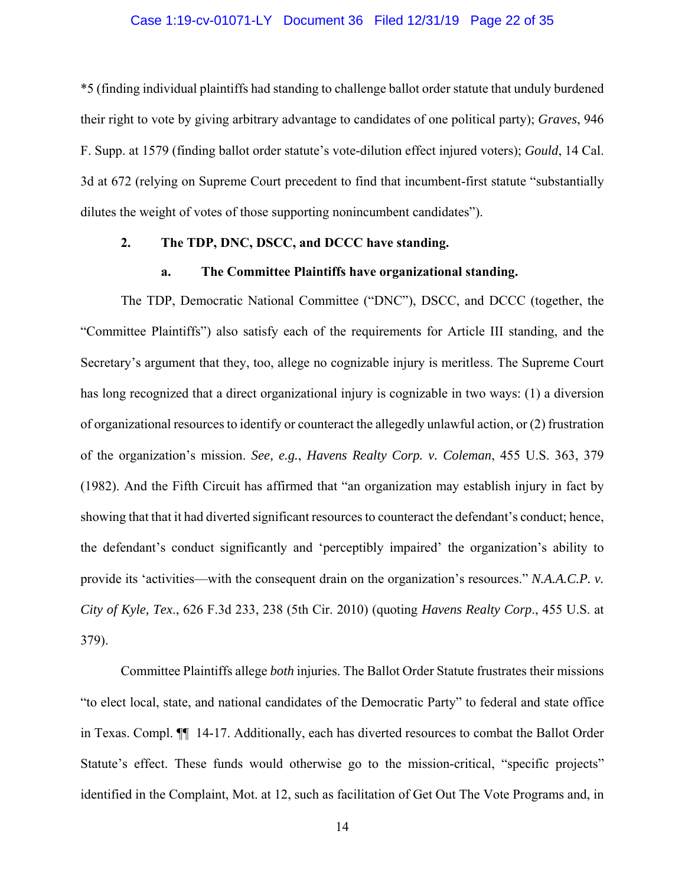## Case 1:19-cv-01071-LY Document 36 Filed 12/31/19 Page 22 of 35

\*5 (finding individual plaintiffs had standing to challenge ballot order statute that unduly burdened their right to vote by giving arbitrary advantage to candidates of one political party); *Graves*, 946 F. Supp. at 1579 (finding ballot order statute's vote-dilution effect injured voters); *Gould*, 14 Cal. 3d at 672 (relying on Supreme Court precedent to find that incumbent-first statute "substantially dilutes the weight of votes of those supporting nonincumbent candidates").

# **2. The TDP, DNC, DSCC, and DCCC have standing.**

#### **a. The Committee Plaintiffs have organizational standing.**

The TDP, Democratic National Committee ("DNC"), DSCC, and DCCC (together, the "Committee Plaintiffs") also satisfy each of the requirements for Article III standing, and the Secretary's argument that they, too, allege no cognizable injury is meritless. The Supreme Court has long recognized that a direct organizational injury is cognizable in two ways: (1) a diversion of organizational resources to identify or counteract the allegedly unlawful action, or (2) frustration of the organization's mission. *See, e.g.*, *Havens Realty Corp. v. Coleman*, 455 U.S. 363, 379 (1982). And the Fifth Circuit has affirmed that "an organization may establish injury in fact by showing that that it had diverted significant resources to counteract the defendant's conduct; hence, the defendant's conduct significantly and 'perceptibly impaired' the organization's ability to provide its 'activities—with the consequent drain on the organization's resources." *N.A.A.C.P. v. City of Kyle, Tex*., 626 F.3d 233, 238 (5th Cir. 2010) (quoting *Havens Realty Corp*., 455 U.S. at 379).

Committee Plaintiffs allege *both* injuries. The Ballot Order Statute frustrates their missions "to elect local, state, and national candidates of the Democratic Party" to federal and state office in Texas. Compl. ¶¶ 14-17. Additionally, each has diverted resources to combat the Ballot Order Statute's effect. These funds would otherwise go to the mission-critical, "specific projects" identified in the Complaint, Mot. at 12, such as facilitation of Get Out The Vote Programs and, in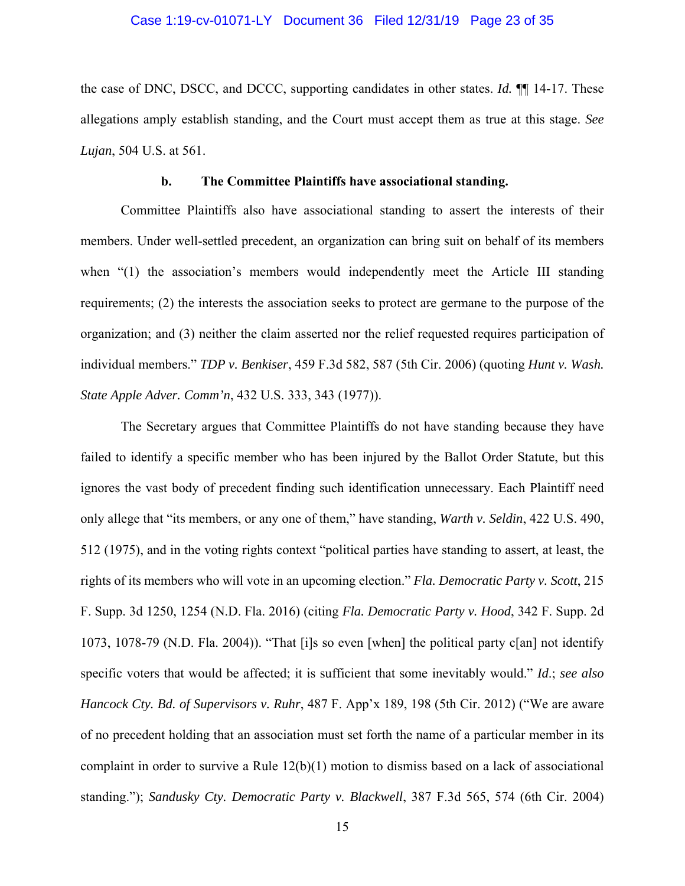# Case 1:19-cv-01071-LY Document 36 Filed 12/31/19 Page 23 of 35

the case of DNC, DSCC, and DCCC, supporting candidates in other states. *Id.* ¶¶ 14-17. These allegations amply establish standing, and the Court must accept them as true at this stage. *See Lujan*, 504 U.S. at 561.

#### **b. The Committee Plaintiffs have associational standing.**

Committee Plaintiffs also have associational standing to assert the interests of their members. Under well-settled precedent, an organization can bring suit on behalf of its members when "(1) the association's members would independently meet the Article III standing requirements; (2) the interests the association seeks to protect are germane to the purpose of the organization; and (3) neither the claim asserted nor the relief requested requires participation of individual members." *TDP v. Benkiser*, 459 F.3d 582, 587 (5th Cir. 2006) (quoting *Hunt v. Wash. State Apple Adver. Comm'n*, 432 U.S. 333, 343 (1977)).

The Secretary argues that Committee Plaintiffs do not have standing because they have failed to identify a specific member who has been injured by the Ballot Order Statute, but this ignores the vast body of precedent finding such identification unnecessary. Each Plaintiff need only allege that "its members, or any one of them," have standing, *Warth v. Seldin*, 422 U.S. 490, 512 (1975), and in the voting rights context "political parties have standing to assert, at least, the rights of its members who will vote in an upcoming election." *Fla. Democratic Party v. Scott*, 215 F. Supp. 3d 1250, 1254 (N.D. Fla. 2016) (citing *Fla. Democratic Party v. Hood*, 342 F. Supp. 2d 1073, 1078-79 (N.D. Fla. 2004)). "That [i]s so even [when] the political party c[an] not identify specific voters that would be affected; it is sufficient that some inevitably would." *Id*.; *see also Hancock Cty. Bd. of Supervisors v. Ruhr*, 487 F. App'x 189, 198 (5th Cir. 2012) ("We are aware of no precedent holding that an association must set forth the name of a particular member in its complaint in order to survive a Rule 12(b)(1) motion to dismiss based on a lack of associational standing."); *Sandusky Cty. Democratic Party v. Blackwell*, 387 F.3d 565, 574 (6th Cir. 2004)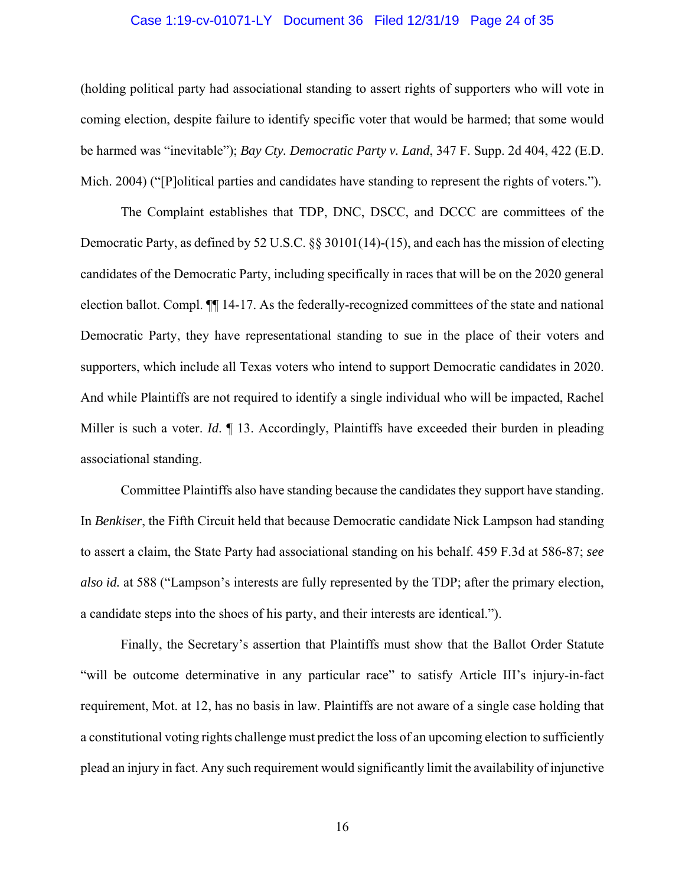# Case 1:19-cv-01071-LY Document 36 Filed 12/31/19 Page 24 of 35

(holding political party had associational standing to assert rights of supporters who will vote in coming election, despite failure to identify specific voter that would be harmed; that some would be harmed was "inevitable"); *Bay Cty. Democratic Party v. Land*, 347 F. Supp. 2d 404, 422 (E.D. Mich. 2004) ("[P]olitical parties and candidates have standing to represent the rights of voters.").

The Complaint establishes that TDP, DNC, DSCC, and DCCC are committees of the Democratic Party, as defined by 52 U.S.C. §§ 30101(14)-(15), and each has the mission of electing candidates of the Democratic Party, including specifically in races that will be on the 2020 general election ballot. Compl. ¶¶ 14-17. As the federally-recognized committees of the state and national Democratic Party, they have representational standing to sue in the place of their voters and supporters, which include all Texas voters who intend to support Democratic candidates in 2020. And while Plaintiffs are not required to identify a single individual who will be impacted, Rachel Miller is such a voter. *Id.*  $\llbracket$  13. Accordingly, Plaintiffs have exceeded their burden in pleading associational standing.

Committee Plaintiffs also have standing because the candidates they support have standing. In *Benkiser*, the Fifth Circuit held that because Democratic candidate Nick Lampson had standing to assert a claim, the State Party had associational standing on his behalf. 459 F.3d at 586-87; *see also id.* at 588 ("Lampson's interests are fully represented by the TDP; after the primary election, a candidate steps into the shoes of his party, and their interests are identical.").

Finally, the Secretary's assertion that Plaintiffs must show that the Ballot Order Statute "will be outcome determinative in any particular race" to satisfy Article III's injury-in-fact requirement, Mot. at 12, has no basis in law. Plaintiffs are not aware of a single case holding that a constitutional voting rights challenge must predict the loss of an upcoming election to sufficiently plead an injury in fact. Any such requirement would significantly limit the availability of injunctive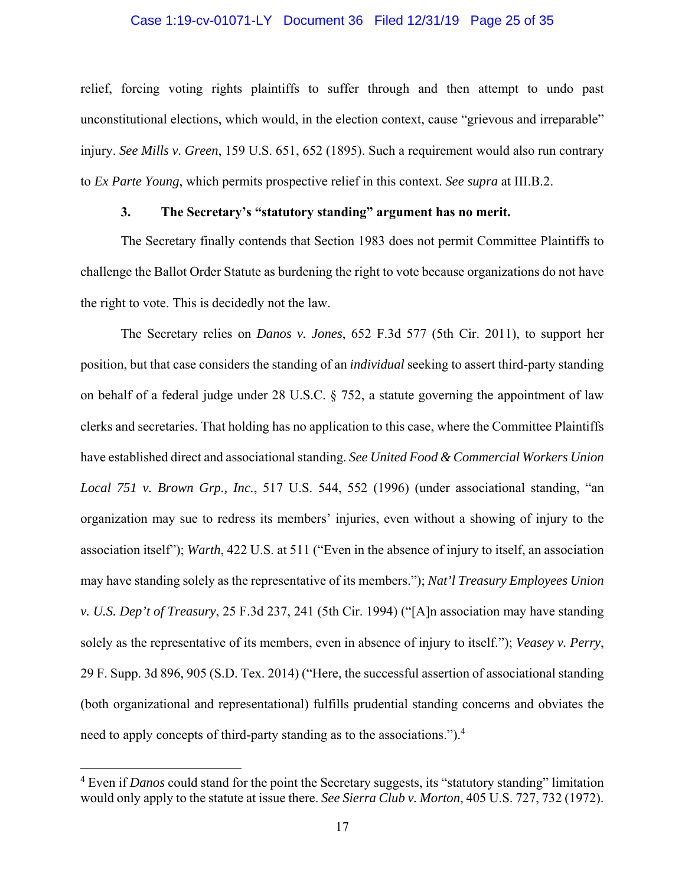## Case 1:19-cv-01071-LY Document 36 Filed 12/31/19 Page 25 of 35

relief, forcing voting rights plaintiffs to suffer through and then attempt to undo past unconstitutional elections, which would, in the election context, cause "grievous and irreparable" injury. *See Mills v. Green*, 159 U.S. 651, 652 (1895). Such a requirement would also run contrary to *Ex Parte Young*, which permits prospective relief in this context. *See supra* at III.B.2.

# **3. The Secretary's "statutory standing" argument has no merit.**

The Secretary finally contends that Section 1983 does not permit Committee Plaintiffs to challenge the Ballot Order Statute as burdening the right to vote because organizations do not have the right to vote. This is decidedly not the law.

The Secretary relies on *Danos v. Jones*, 652 F.3d 577 (5th Cir. 2011), to support her position, but that case considers the standing of an *individual* seeking to assert third-party standing on behalf of a federal judge under 28 U.S.C. § 752, a statute governing the appointment of law clerks and secretaries. That holding has no application to this case, where the Committee Plaintiffs have established direct and associational standing. *See United Food & Commercial Workers Union Local 751 v. Brown Grp., Inc.*, 517 U.S. 544, 552 (1996) (under associational standing, "an organization may sue to redress its members' injuries, even without a showing of injury to the association itself"); *Warth*, 422 U.S. at 511 ("Even in the absence of injury to itself, an association may have standing solely as the representative of its members."); *Nat'l Treasury Employees Union v. U.S. Dep't of Treasury*, 25 F.3d 237, 241 (5th Cir. 1994) ("[A]n association may have standing solely as the representative of its members, even in absence of injury to itself."); *Veasey v. Perry*, 29 F. Supp. 3d 896, 905 (S.D. Tex. 2014) ("Here, the successful assertion of associational standing (both organizational and representational) fulfills prudential standing concerns and obviates the need to apply concepts of third-party standing as to the associations.").<sup>4</sup>

<sup>&</sup>lt;sup>4</sup> Even if *Danos* could stand for the point the Secretary suggests, its "statutory standing" limitation would only apply to the statute at issue there. *See Sierra Club v. Morton*, 405 U.S. 727, 732 (1972).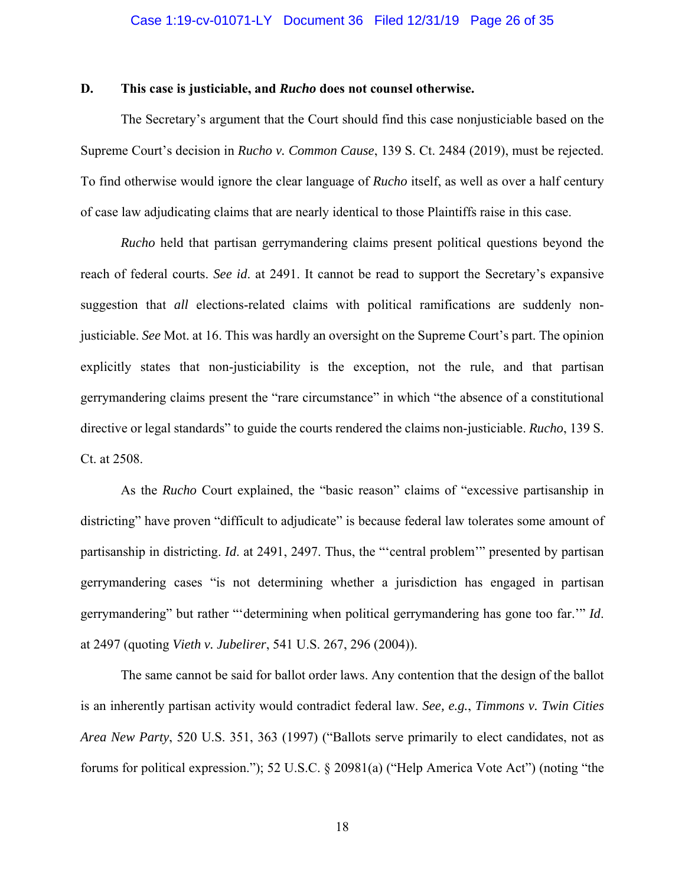## **D. This case is justiciable, and** *Rucho* **does not counsel otherwise.**

 The Secretary's argument that the Court should find this case nonjusticiable based on the Supreme Court's decision in *Rucho v. Common Cause*, 139 S. Ct. 2484 (2019), must be rejected. To find otherwise would ignore the clear language of *Rucho* itself, as well as over a half century of case law adjudicating claims that are nearly identical to those Plaintiffs raise in this case.

*Rucho* held that partisan gerrymandering claims present political questions beyond the reach of federal courts. *See id*. at 2491. It cannot be read to support the Secretary's expansive suggestion that *all* elections-related claims with political ramifications are suddenly nonjusticiable. *See* Mot. at 16. This was hardly an oversight on the Supreme Court's part. The opinion explicitly states that non-justiciability is the exception, not the rule, and that partisan gerrymandering claims present the "rare circumstance" in which "the absence of a constitutional directive or legal standards" to guide the courts rendered the claims non-justiciable. *Rucho*, 139 S. Ct. at 2508.

As the *Rucho* Court explained, the "basic reason" claims of "excessive partisanship in districting" have proven "difficult to adjudicate" is because federal law tolerates some amount of partisanship in districting. *Id*. at 2491, 2497. Thus, the "'central problem'" presented by partisan gerrymandering cases "is not determining whether a jurisdiction has engaged in partisan gerrymandering" but rather "'determining when political gerrymandering has gone too far.'" *Id*. at 2497 (quoting *Vieth v. Jubelirer*, 541 U.S. 267, 296 (2004)).

The same cannot be said for ballot order laws. Any contention that the design of the ballot is an inherently partisan activity would contradict federal law. *See, e.g.*, *Timmons v. Twin Cities Area New Party*, 520 U.S. 351, 363 (1997) ("Ballots serve primarily to elect candidates, not as forums for political expression."); 52 U.S.C. § 20981(a) ("Help America Vote Act") (noting "the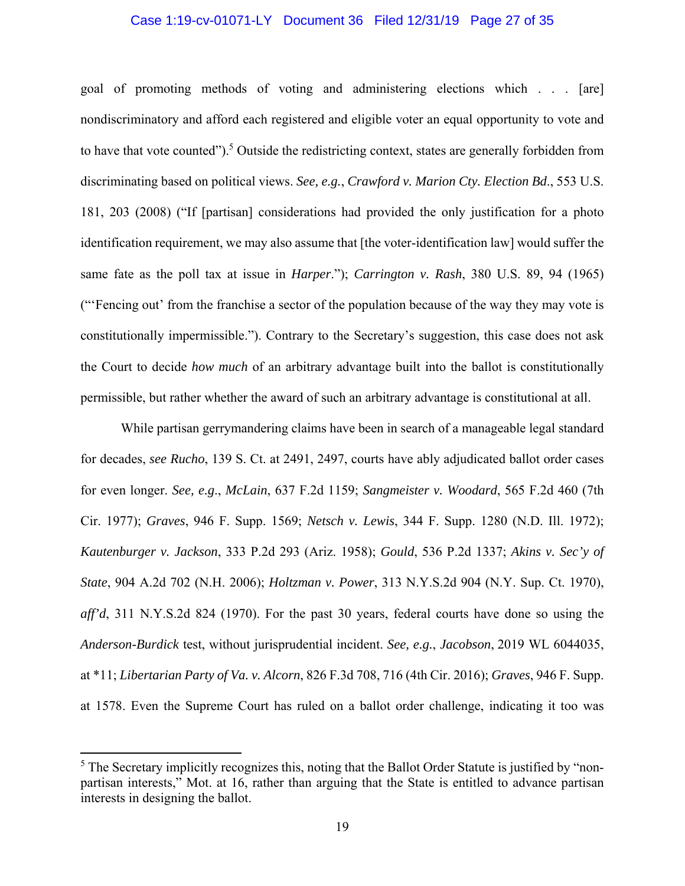# Case 1:19-cv-01071-LY Document 36 Filed 12/31/19 Page 27 of 35

goal of promoting methods of voting and administering elections which . . . [are] nondiscriminatory and afford each registered and eligible voter an equal opportunity to vote and to have that vote counted").<sup>5</sup> Outside the redistricting context, states are generally forbidden from discriminating based on political views. *See, e.g.*, *Crawford v. Marion Cty. Election Bd*., 553 U.S. 181, 203 (2008) ("If [partisan] considerations had provided the only justification for a photo identification requirement, we may also assume that [the voter-identification law] would suffer the same fate as the poll tax at issue in *Harper*."); *Carrington v. Rash*, 380 U.S. 89, 94 (1965) ("'Fencing out' from the franchise a sector of the population because of the way they may vote is constitutionally impermissible."). Contrary to the Secretary's suggestion, this case does not ask the Court to decide *how much* of an arbitrary advantage built into the ballot is constitutionally permissible, but rather whether the award of such an arbitrary advantage is constitutional at all.

While partisan gerrymandering claims have been in search of a manageable legal standard for decades, *see Rucho*, 139 S. Ct. at 2491, 2497, courts have ably adjudicated ballot order cases for even longer. *See, e.g*., *McLain*, 637 F.2d 1159; *Sangmeister v. Woodard*, 565 F.2d 460 (7th Cir. 1977); *Graves*, 946 F. Supp. 1569; *Netsch v. Lewis*, 344 F. Supp. 1280 (N.D. Ill. 1972); *Kautenburger v. Jackson*, 333 P.2d 293 (Ariz. 1958); *Gould*, 536 P.2d 1337; *Akins v. Sec'y of State*, 904 A.2d 702 (N.H. 2006); *Holtzman v. Power*, 313 N.Y.S.2d 904 (N.Y. Sup. Ct. 1970), *aff'd*, 311 N.Y.S.2d 824 (1970). For the past 30 years, federal courts have done so using the *Anderson-Burdick* test, without jurisprudential incident. *See, e.g.*, *Jacobson*, 2019 WL 6044035, at \*11; *Libertarian Party of Va. v. Alcorn*, 826 F.3d 708, 716 (4th Cir. 2016); *Graves*, 946 F. Supp. at 1578. Even the Supreme Court has ruled on a ballot order challenge, indicating it too was

 $<sup>5</sup>$  The Secretary implicitly recognizes this, noting that the Ballot Order Statute is justified by "non-</sup> partisan interests," Mot. at 16, rather than arguing that the State is entitled to advance partisan interests in designing the ballot.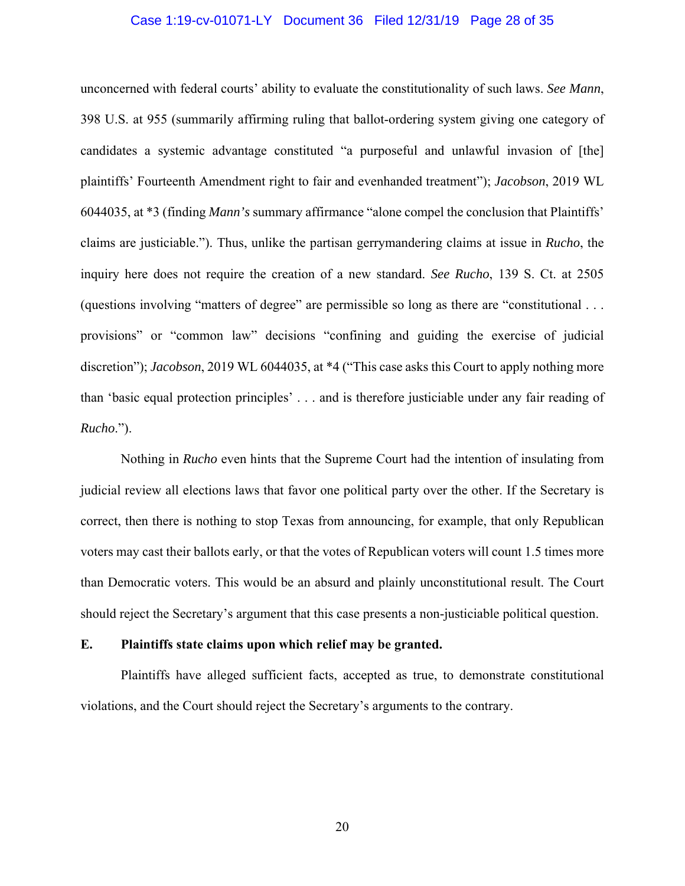# Case 1:19-cv-01071-LY Document 36 Filed 12/31/19 Page 28 of 35

unconcerned with federal courts' ability to evaluate the constitutionality of such laws. *See Mann*, 398 U.S. at 955 (summarily affirming ruling that ballot-ordering system giving one category of candidates a systemic advantage constituted "a purposeful and unlawful invasion of [the] plaintiffs' Fourteenth Amendment right to fair and evenhanded treatment"); *Jacobson*, 2019 WL 6044035, at \*3 (finding *Mann's* summary affirmance "alone compel the conclusion that Plaintiffs' claims are justiciable."). Thus, unlike the partisan gerrymandering claims at issue in *Rucho*, the inquiry here does not require the creation of a new standard. *See Rucho*, 139 S. Ct. at 2505 (questions involving "matters of degree" are permissible so long as there are "constitutional . . . provisions" or "common law" decisions "confining and guiding the exercise of judicial discretion"); *Jacobson*, 2019 WL 6044035, at \*4 ("This case asks this Court to apply nothing more than 'basic equal protection principles' . . . and is therefore justiciable under any fair reading of *Rucho*.").

Nothing in *Rucho* even hints that the Supreme Court had the intention of insulating from judicial review all elections laws that favor one political party over the other. If the Secretary is correct, then there is nothing to stop Texas from announcing, for example, that only Republican voters may cast their ballots early, or that the votes of Republican voters will count 1.5 times more than Democratic voters. This would be an absurd and plainly unconstitutional result. The Court should reject the Secretary's argument that this case presents a non-justiciable political question.

#### **E. Plaintiffs state claims upon which relief may be granted.**

Plaintiffs have alleged sufficient facts, accepted as true, to demonstrate constitutional violations, and the Court should reject the Secretary's arguments to the contrary.

20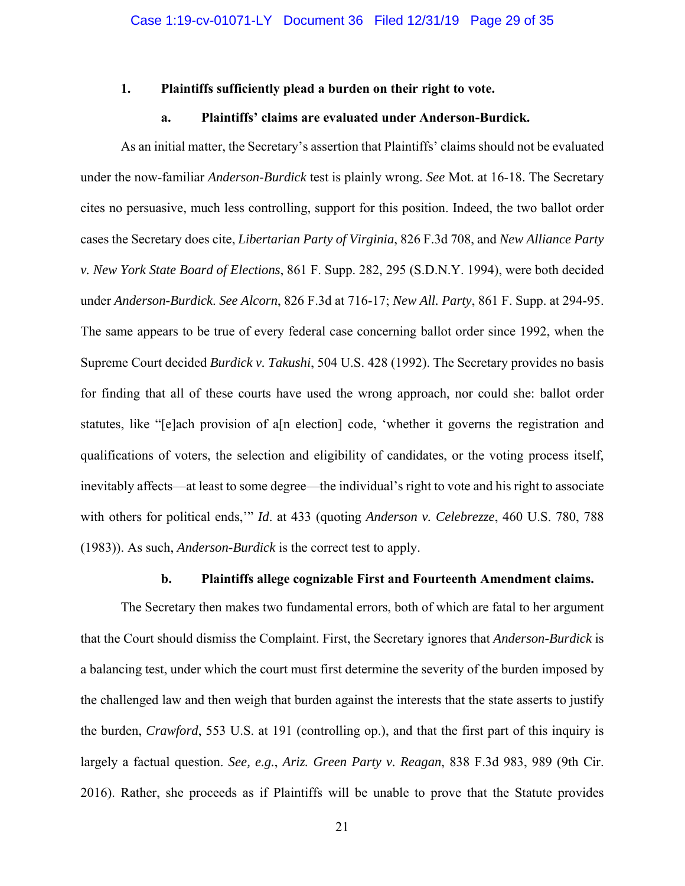#### **1. Plaintiffs sufficiently plead a burden on their right to vote.**

#### **a. Plaintiffs' claims are evaluated under Anderson-Burdick.**

 As an initial matter, the Secretary's assertion that Plaintiffs' claims should not be evaluated under the now-familiar *Anderson-Burdick* test is plainly wrong. *See* Mot. at 16-18. The Secretary cites no persuasive, much less controlling, support for this position. Indeed, the two ballot order cases the Secretary does cite, *Libertarian Party of Virginia*, 826 F.3d 708, and *New Alliance Party v. New York State Board of Elections*, 861 F. Supp. 282, 295 (S.D.N.Y. 1994), were both decided under *Anderson-Burdick*. *See Alcorn*, 826 F.3d at 716-17; *New All. Party*, 861 F. Supp. at 294-95. The same appears to be true of every federal case concerning ballot order since 1992, when the Supreme Court decided *Burdick v. Takushi*, 504 U.S. 428 (1992). The Secretary provides no basis for finding that all of these courts have used the wrong approach, nor could she: ballot order statutes, like "[e]ach provision of a[n election] code, 'whether it governs the registration and qualifications of voters, the selection and eligibility of candidates, or the voting process itself, inevitably affects—at least to some degree—the individual's right to vote and his right to associate with others for political ends,'" *Id*. at 433 (quoting *Anderson v. Celebrezze*, 460 U.S. 780, 788 (1983)). As such, *Anderson-Burdick* is the correct test to apply.

# **b. Plaintiffs allege cognizable First and Fourteenth Amendment claims.**

 The Secretary then makes two fundamental errors, both of which are fatal to her argument that the Court should dismiss the Complaint. First, the Secretary ignores that *Anderson-Burdick* is a balancing test, under which the court must first determine the severity of the burden imposed by the challenged law and then weigh that burden against the interests that the state asserts to justify the burden, *Crawford*, 553 U.S. at 191 (controlling op.), and that the first part of this inquiry is largely a factual question. *See, e.g.*, *Ariz. Green Party v. Reagan*, 838 F.3d 983, 989 (9th Cir. 2016). Rather, she proceeds as if Plaintiffs will be unable to prove that the Statute provides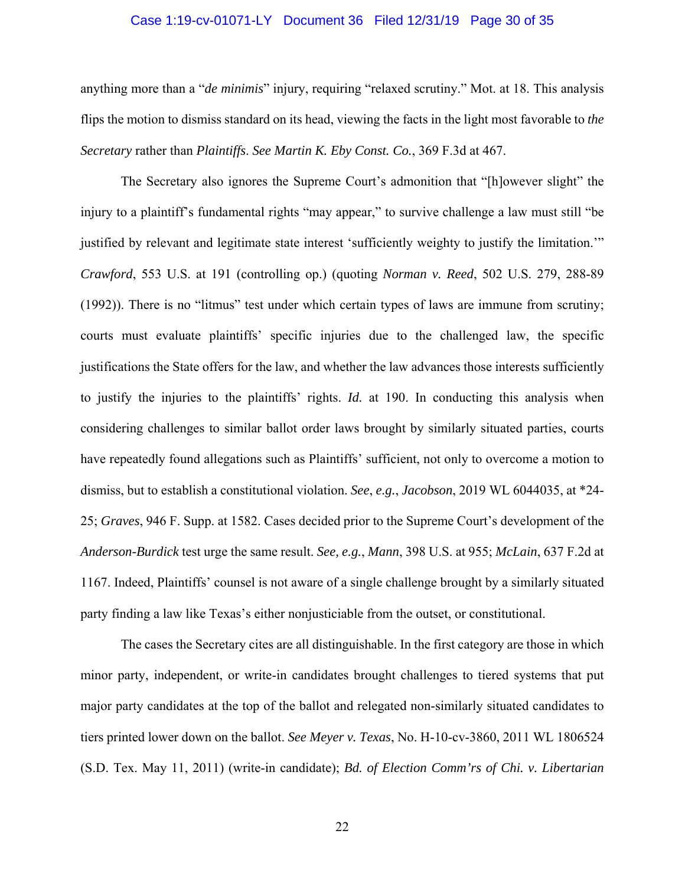# Case 1:19-cv-01071-LY Document 36 Filed 12/31/19 Page 30 of 35

anything more than a "*de minimis*" injury, requiring "relaxed scrutiny." Mot. at 18. This analysis flips the motion to dismiss standard on its head, viewing the facts in the light most favorable to *the Secretary* rather than *Plaintiffs*. *See Martin K. Eby Const. Co.*, 369 F.3d at 467.

The Secretary also ignores the Supreme Court's admonition that "[h]owever slight" the injury to a plaintiff's fundamental rights "may appear," to survive challenge a law must still "be justified by relevant and legitimate state interest 'sufficiently weighty to justify the limitation.'" *Crawford*, 553 U.S. at 191 (controlling op.) (quoting *Norman v. Reed*, 502 U.S. 279, 288-89 (1992)). There is no "litmus" test under which certain types of laws are immune from scrutiny; courts must evaluate plaintiffs' specific injuries due to the challenged law, the specific justifications the State offers for the law, and whether the law advances those interests sufficiently to justify the injuries to the plaintiffs' rights. *Id.* at 190. In conducting this analysis when considering challenges to similar ballot order laws brought by similarly situated parties, courts have repeatedly found allegations such as Plaintiffs' sufficient, not only to overcome a motion to dismiss, but to establish a constitutional violation. *See*, *e.g.*, *Jacobson*, 2019 WL 6044035, at \*24- 25; *Graves*, 946 F. Supp. at 1582. Cases decided prior to the Supreme Court's development of the *Anderson-Burdick* test urge the same result. *See, e.g.*, *Mann*, 398 U.S. at 955; *McLain*, 637 F.2d at 1167. Indeed, Plaintiffs' counsel is not aware of a single challenge brought by a similarly situated party finding a law like Texas's either nonjusticiable from the outset, or constitutional.

 The cases the Secretary cites are all distinguishable. In the first category are those in which minor party, independent, or write-in candidates brought challenges to tiered systems that put major party candidates at the top of the ballot and relegated non-similarly situated candidates to tiers printed lower down on the ballot. *See Meyer v. Texas*, No. H-10-cv-3860, 2011 WL 1806524 (S.D. Tex. May 11, 2011) (write-in candidate); *Bd. of Election Comm'rs of Chi. v. Libertarian*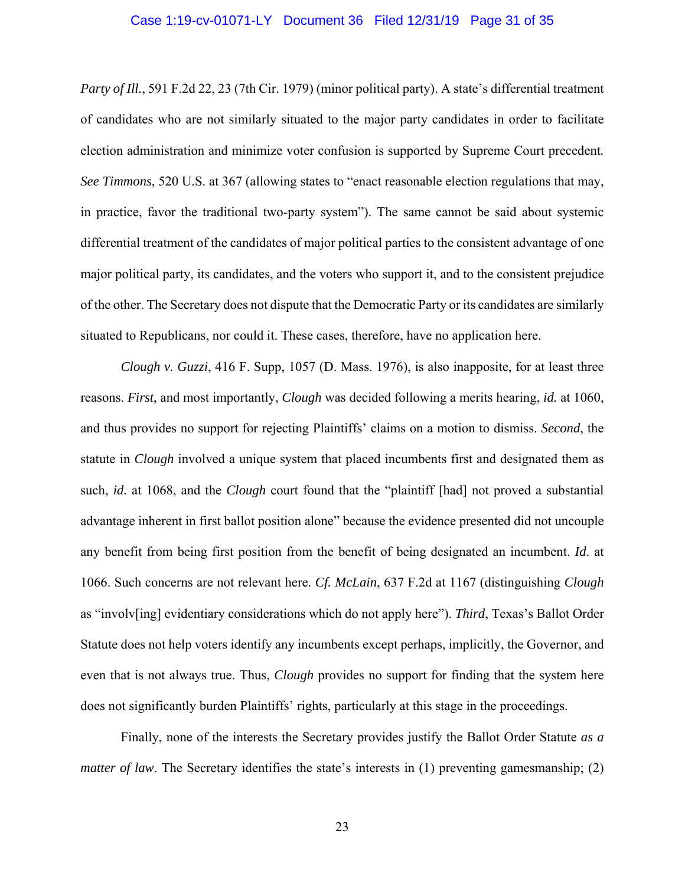## Case 1:19-cv-01071-LY Document 36 Filed 12/31/19 Page 31 of 35

*Party of Ill.*, 591 F.2d 22, 23 (7th Cir. 1979) (minor political party). A state's differential treatment of candidates who are not similarly situated to the major party candidates in order to facilitate election administration and minimize voter confusion is supported by Supreme Court precedent*. See Timmons*, 520 U.S. at 367 (allowing states to "enact reasonable election regulations that may, in practice, favor the traditional two-party system"). The same cannot be said about systemic differential treatment of the candidates of major political parties to the consistent advantage of one major political party, its candidates, and the voters who support it, and to the consistent prejudice of the other. The Secretary does not dispute that the Democratic Party or its candidates are similarly situated to Republicans, nor could it. These cases, therefore, have no application here.

*Clough v. Guzzi*, 416 F. Supp, 1057 (D. Mass. 1976), is also inapposite, for at least three reasons. *First*, and most importantly, *Clough* was decided following a merits hearing, *id.* at 1060, and thus provides no support for rejecting Plaintiffs' claims on a motion to dismiss. *Second*, the statute in *Clough* involved a unique system that placed incumbents first and designated them as such, *id.* at 1068, and the *Clough* court found that the "plaintiff [had] not proved a substantial advantage inherent in first ballot position alone" because the evidence presented did not uncouple any benefit from being first position from the benefit of being designated an incumbent. *Id*. at 1066. Such concerns are not relevant here. *Cf. McLain*, 637 F.2d at 1167 (distinguishing *Clough*  as "involv[ing] evidentiary considerations which do not apply here"). *Third*, Texas's Ballot Order Statute does not help voters identify any incumbents except perhaps, implicitly, the Governor, and even that is not always true. Thus, *Clough* provides no support for finding that the system here does not significantly burden Plaintiffs' rights, particularly at this stage in the proceedings.

 Finally, none of the interests the Secretary provides justify the Ballot Order Statute *as a matter of law*. The Secretary identifies the state's interests in (1) preventing gamesmanship; (2)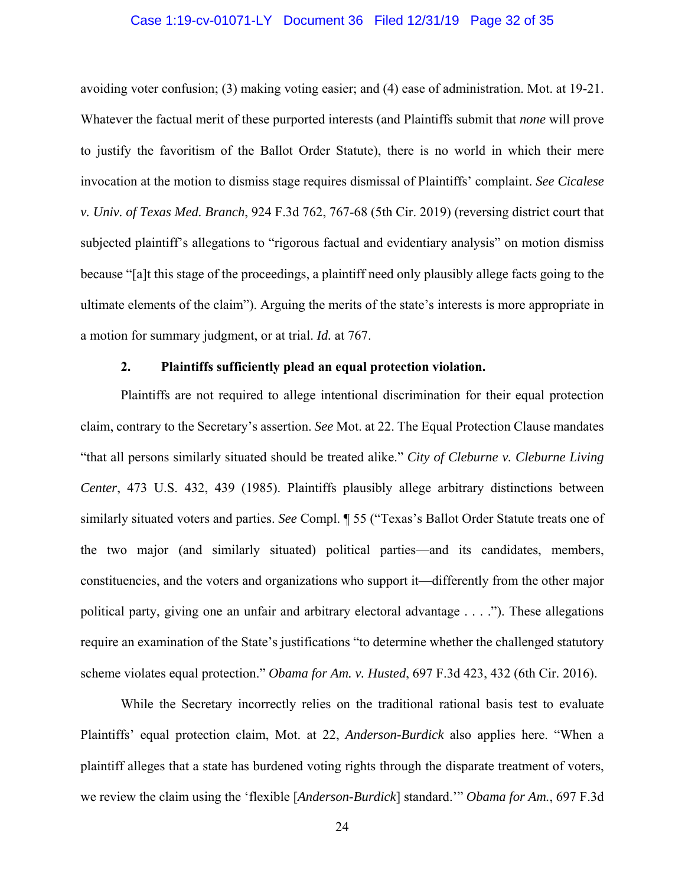## Case 1:19-cv-01071-LY Document 36 Filed 12/31/19 Page 32 of 35

avoiding voter confusion; (3) making voting easier; and (4) ease of administration. Mot. at 19-21. Whatever the factual merit of these purported interests (and Plaintiffs submit that *none* will prove to justify the favoritism of the Ballot Order Statute), there is no world in which their mere invocation at the motion to dismiss stage requires dismissal of Plaintiffs' complaint. *See Cicalese v. Univ. of Texas Med. Branch*, 924 F.3d 762, 767-68 (5th Cir. 2019) (reversing district court that subjected plaintiff's allegations to "rigorous factual and evidentiary analysis" on motion dismiss because "[a]t this stage of the proceedings, a plaintiff need only plausibly allege facts going to the ultimate elements of the claim"). Arguing the merits of the state's interests is more appropriate in a motion for summary judgment, or at trial. *Id.* at 767.

# **2. Plaintiffs sufficiently plead an equal protection violation.**

 Plaintiffs are not required to allege intentional discrimination for their equal protection claim, contrary to the Secretary's assertion. *See* Mot. at 22. The Equal Protection Clause mandates "that all persons similarly situated should be treated alike." *City of Cleburne v. Cleburne Living Center*, 473 U.S. 432, 439 (1985). Plaintiffs plausibly allege arbitrary distinctions between similarly situated voters and parties. *See* Compl. ¶ 55 ("Texas's Ballot Order Statute treats one of the two major (and similarly situated) political parties—and its candidates, members, constituencies, and the voters and organizations who support it—differently from the other major political party, giving one an unfair and arbitrary electoral advantage . . . ."). These allegations require an examination of the State's justifications "to determine whether the challenged statutory scheme violates equal protection." *Obama for Am. v. Husted*, 697 F.3d 423, 432 (6th Cir. 2016).

 While the Secretary incorrectly relies on the traditional rational basis test to evaluate Plaintiffs' equal protection claim, Mot. at 22, *Anderson-Burdick* also applies here. "When a plaintiff alleges that a state has burdened voting rights through the disparate treatment of voters, we review the claim using the 'flexible [*Anderson-Burdick*] standard.'" *Obama for Am.*, 697 F.3d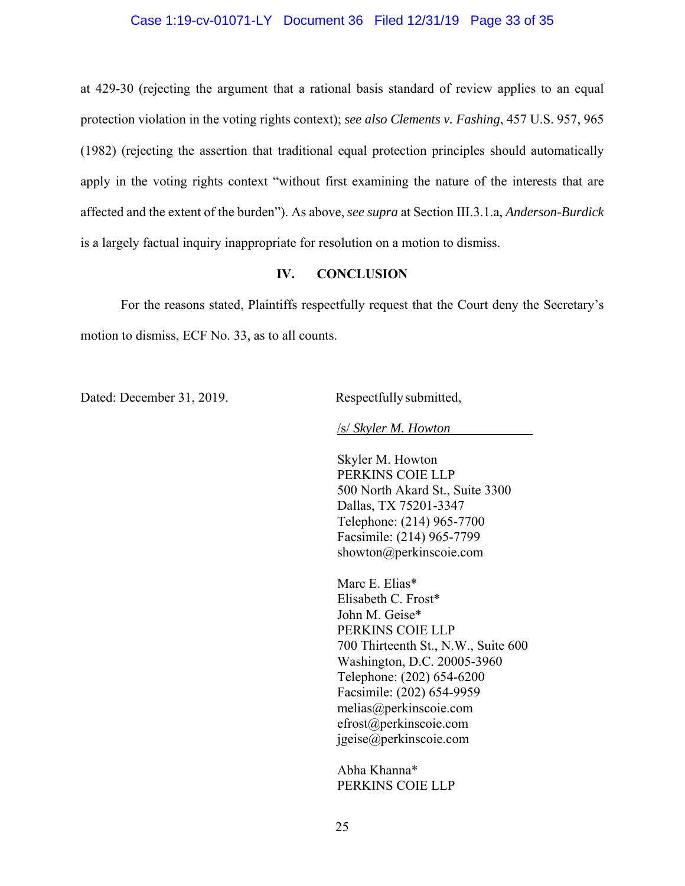# Case 1:19-cv-01071-LY Document 36 Filed 12/31/19 Page 33 of 35

at 429-30 (rejecting the argument that a rational basis standard of review applies to an equal protection violation in the voting rights context); *see also Clements v. Fashing*, 457 U.S. 957, 965 (1982) (rejecting the assertion that traditional equal protection principles should automatically apply in the voting rights context "without first examining the nature of the interests that are affected and the extent of the burden"). As above, *see supra* at Section III.3.1.a, *Anderson-Burdick* is a largely factual inquiry inappropriate for resolution on a motion to dismiss.

# **IV. CONCLUSION**

For the reasons stated, Plaintiffs respectfully request that the Court deny the Secretary's motion to dismiss, ECF No. 33, as to all counts.

Dated: December 31, 2019. Respectfully submitted,

/s/ *Skyler M. Howton* 

Skyler M. Howton PERKINS COIE LLP 500 North Akard St., Suite 3300 Dallas, TX 75201-3347 Telephone: (214) 965-7700 Facsimile: (214) 965-7799 showton@perkinscoie.com

Marc E. Elias\* Elisabeth C. Frost\* John M. Geise\* PERKINS COIE LLP 700 Thirteenth St., N.W., Suite 600 Washington, D.C. 20005-3960 Telephone: (202) 654-6200 Facsimile: (202) 654-9959 melias@perkinscoie.com efrost@perkinscoie.com jgeise@perkinscoie.com

Abha Khanna\* PERKINS COIE LLP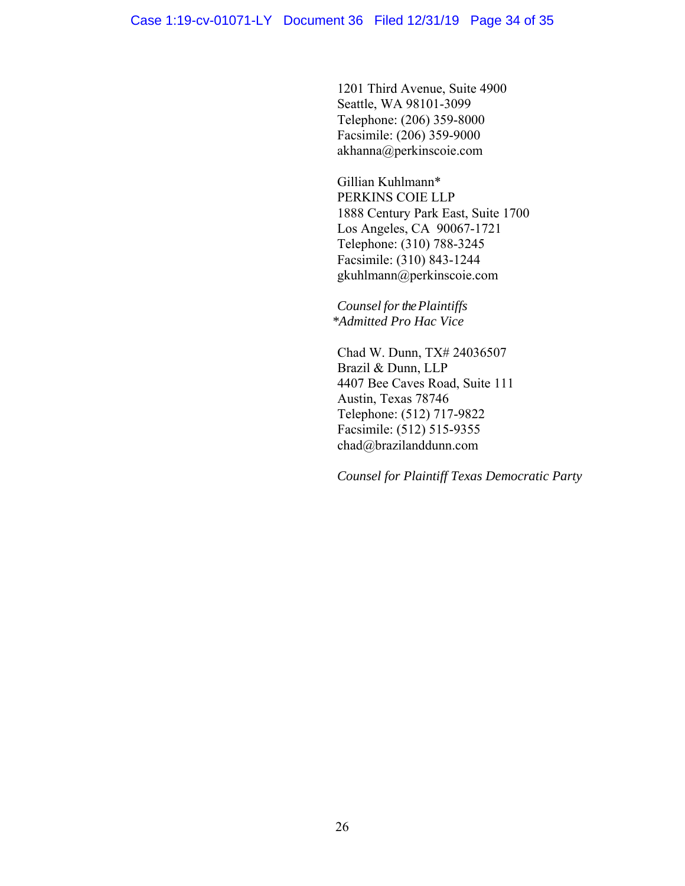1201 Third Avenue, Suite 4900 Seattle, WA 98101-3099 Telephone: (206) 359-8000 Facsimile: (206) 359-9000 akhanna@perkinscoie.com

Gillian Kuhlmann\* PERKINS COIE LLP 1888 Century Park East, Suite 1700 Los Angeles, CA 90067-1721 Telephone: (310) 788-3245 Facsimile: (310) 843-1244 gkuhlmann@perkinscoie.com

*Counsel for the Plaintiffs \*Admitted Pro Hac Vice* 

Chad W. Dunn, TX# 24036507 Brazil & Dunn, LLP 4407 Bee Caves Road, Suite 111 Austin, Texas 78746 Telephone: (512) 717-9822 Facsimile: (512) 515-9355 chad@brazilanddunn.com

*Counsel for Plaintiff Texas Democratic Party*